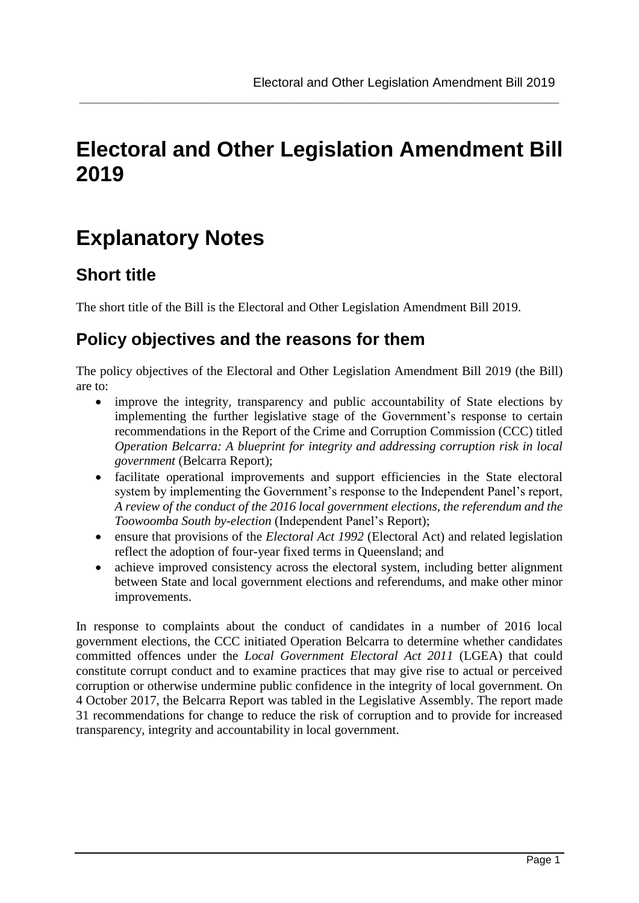# **Electoral and Other Legislation Amendment Bill 2019**

**\_\_\_\_\_\_\_\_\_\_\_\_\_\_\_\_\_\_\_\_\_\_\_\_\_\_\_\_\_\_\_\_\_\_\_\_\_\_\_\_\_\_\_\_\_\_\_\_\_\_\_\_\_\_\_\_\_\_\_\_\_\_\_\_\_\_\_**

# **Explanatory Notes**

## **Short title**

The short title of the Bill is the Electoral and Other Legislation Amendment Bill 2019.

## **Policy objectives and the reasons for them**

The policy objectives of the Electoral and Other Legislation Amendment Bill 2019 (the Bill) are to:

- improve the integrity, transparency and public accountability of State elections by implementing the further legislative stage of the Government's response to certain recommendations in the Report of the Crime and Corruption Commission (CCC) titled *Operation Belcarra: A blueprint for integrity and addressing corruption risk in local government* (Belcarra Report);
- facilitate operational improvements and support efficiencies in the State electoral system by implementing the Government's response to the Independent Panel's report, *A review of the conduct of the 2016 local government elections, the referendum and the Toowoomba South by-election* (Independent Panel's Report);
- ensure that provisions of the *Electoral Act 1992* (Electoral Act) and related legislation reflect the adoption of four-year fixed terms in Queensland; and
- achieve improved consistency across the electoral system, including better alignment between State and local government elections and referendums, and make other minor improvements.

In response to complaints about the conduct of candidates in a number of 2016 local government elections, the CCC initiated Operation Belcarra to determine whether candidates committed offences under the *Local Government Electoral Act 2011* (LGEA) that could constitute corrupt conduct and to examine practices that may give rise to actual or perceived corruption or otherwise undermine public confidence in the integrity of local government. On 4 October 2017, the Belcarra Report was tabled in the Legislative Assembly. The report made 31 recommendations for change to reduce the risk of corruption and to provide for increased transparency, integrity and accountability in local government.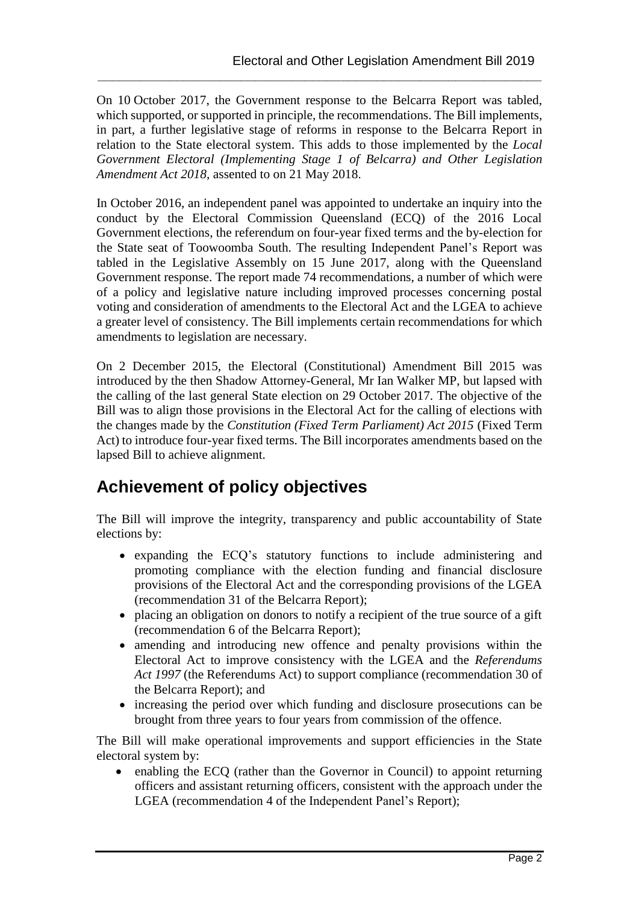On 10 October 2017, the Government response to the Belcarra Report was tabled, which supported, or supported in principle, the recommendations. The Bill implements, in part, a further legislative stage of reforms in response to the Belcarra Report in relation to the State electoral system. This adds to those implemented by the *Local Government Electoral (Implementing Stage 1 of Belcarra) and Other Legislation Amendment Act 2018*, assented to on 21 May 2018.

**\_\_\_\_\_\_\_\_\_\_\_\_\_\_\_\_\_\_\_\_\_\_\_\_\_\_\_\_\_\_\_\_\_\_\_\_\_\_\_\_\_\_\_\_\_\_\_\_\_\_\_\_\_\_\_\_\_\_\_\_\_\_**

In October 2016, an independent panel was appointed to undertake an inquiry into the conduct by the Electoral Commission Queensland (ECQ) of the 2016 Local Government elections, the referendum on four-year fixed terms and the by-election for the State seat of Toowoomba South. The resulting Independent Panel's Report was tabled in the Legislative Assembly on 15 June 2017, along with the Queensland Government response. The report made 74 recommendations, a number of which were of a policy and legislative nature including improved processes concerning postal voting and consideration of amendments to the Electoral Act and the LGEA to achieve a greater level of consistency. The Bill implements certain recommendations for which amendments to legislation are necessary.

On 2 December 2015, the Electoral (Constitutional) Amendment Bill 2015 was introduced by the then Shadow Attorney-General, Mr Ian Walker MP, but lapsed with the calling of the last general State election on 29 October 2017. The objective of the Bill was to align those provisions in the Electoral Act for the calling of elections with the changes made by the *Constitution (Fixed Term Parliament) Act 2015* (Fixed Term Act) to introduce four-year fixed terms. The Bill incorporates amendments based on the lapsed Bill to achieve alignment.

## **Achievement of policy objectives**

The Bill will improve the integrity, transparency and public accountability of State elections by:

- expanding the ECQ's statutory functions to include administering and promoting compliance with the election funding and financial disclosure provisions of the Electoral Act and the corresponding provisions of the LGEA (recommendation 31 of the Belcarra Report);
- placing an obligation on donors to notify a recipient of the true source of a gift (recommendation 6 of the Belcarra Report);
- amending and introducing new offence and penalty provisions within the Electoral Act to improve consistency with the LGEA and the *Referendums Act 1997* (the Referendums Act) to support compliance (recommendation 30 of the Belcarra Report); and
- increasing the period over which funding and disclosure prosecutions can be brought from three years to four years from commission of the offence.

The Bill will make operational improvements and support efficiencies in the State electoral system by:

 enabling the ECQ (rather than the Governor in Council) to appoint returning officers and assistant returning officers, consistent with the approach under the LGEA (recommendation 4 of the Independent Panel's Report);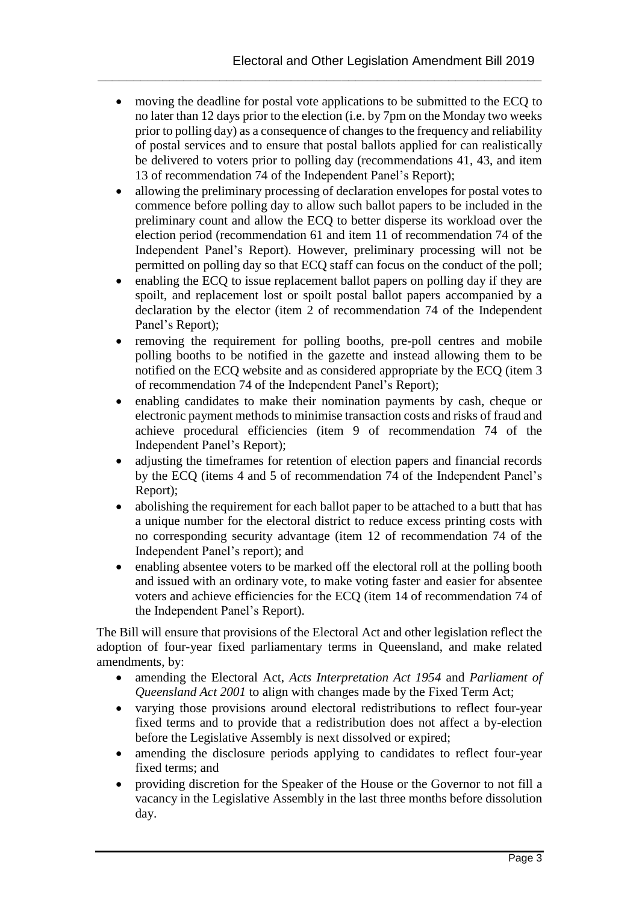moving the deadline for postal vote applications to be submitted to the ECQ to no later than 12 days prior to the election (i.e. by 7pm on the Monday two weeks prior to polling day) as a consequence of changes to the frequency and reliability of postal services and to ensure that postal ballots applied for can realistically be delivered to voters prior to polling day (recommendations 41, 43, and item 13 of recommendation 74 of the Independent Panel's Report);

**\_\_\_\_\_\_\_\_\_\_\_\_\_\_\_\_\_\_\_\_\_\_\_\_\_\_\_\_\_\_\_\_\_\_\_\_\_\_\_\_\_\_\_\_\_\_\_\_\_\_\_\_\_\_\_\_\_\_\_\_\_\_**

- allowing the preliminary processing of declaration envelopes for postal votes to commence before polling day to allow such ballot papers to be included in the preliminary count and allow the ECQ to better disperse its workload over the election period (recommendation 61 and item 11 of recommendation 74 of the Independent Panel's Report). However, preliminary processing will not be permitted on polling day so that ECQ staff can focus on the conduct of the poll;
- enabling the ECQ to issue replacement ballot papers on polling day if they are spoilt, and replacement lost or spoilt postal ballot papers accompanied by a declaration by the elector (item 2 of recommendation 74 of the Independent Panel's Report);
- removing the requirement for polling booths, pre-poll centres and mobile polling booths to be notified in the gazette and instead allowing them to be notified on the ECQ website and as considered appropriate by the ECQ (item 3 of recommendation 74 of the Independent Panel's Report);
- enabling candidates to make their nomination payments by cash, cheque or electronic payment methods to minimise transaction costs and risks of fraud and achieve procedural efficiencies (item 9 of recommendation 74 of the Independent Panel's Report);
- adjusting the timeframes for retention of election papers and financial records by the ECQ (items 4 and 5 of recommendation 74 of the Independent Panel's Report);
- abolishing the requirement for each ballot paper to be attached to a butt that has a unique number for the electoral district to reduce excess printing costs with no corresponding security advantage (item 12 of recommendation 74 of the Independent Panel's report); and
- enabling absentee voters to be marked off the electoral roll at the polling booth and issued with an ordinary vote, to make voting faster and easier for absentee voters and achieve efficiencies for the ECQ (item 14 of recommendation 74 of the Independent Panel's Report).

The Bill will ensure that provisions of the Electoral Act and other legislation reflect the adoption of four-year fixed parliamentary terms in Queensland, and make related amendments, by:

- amending the Electoral Act, *Acts Interpretation Act 1954* and *Parliament of Queensland Act 2001* to align with changes made by the Fixed Term Act;
- varying those provisions around electoral redistributions to reflect four-year fixed terms and to provide that a redistribution does not affect a by-election before the Legislative Assembly is next dissolved or expired;
- amending the disclosure periods applying to candidates to reflect four-year fixed terms; and
- providing discretion for the Speaker of the House or the Governor to not fill a vacancy in the Legislative Assembly in the last three months before dissolution day.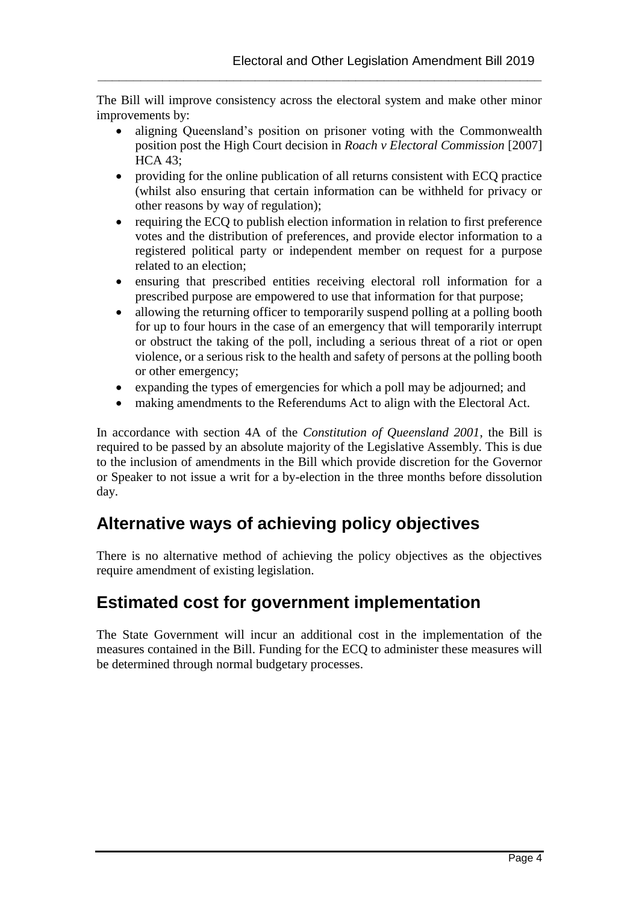The Bill will improve consistency across the electoral system and make other minor improvements by:

**\_\_\_\_\_\_\_\_\_\_\_\_\_\_\_\_\_\_\_\_\_\_\_\_\_\_\_\_\_\_\_\_\_\_\_\_\_\_\_\_\_\_\_\_\_\_\_\_\_\_\_\_\_\_\_\_\_\_\_\_\_\_**

- aligning Queensland's position on prisoner voting with the Commonwealth position post the High Court decision in *Roach v Electoral Commission* [2007] HCA 43;
- providing for the online publication of all returns consistent with ECQ practice (whilst also ensuring that certain information can be withheld for privacy or other reasons by way of regulation);
- requiring the ECQ to publish election information in relation to first preference votes and the distribution of preferences, and provide elector information to a registered political party or independent member on request for a purpose related to an election;
- ensuring that prescribed entities receiving electoral roll information for a prescribed purpose are empowered to use that information for that purpose;
- allowing the returning officer to temporarily suspend polling at a polling booth for up to four hours in the case of an emergency that will temporarily interrupt or obstruct the taking of the poll, including a serious threat of a riot or open violence, or a serious risk to the health and safety of persons at the polling booth or other emergency;
- expanding the types of emergencies for which a poll may be adjourned; and
- making amendments to the Referendums Act to align with the Electoral Act.

In accordance with section 4A of the *Constitution of Queensland 2001*, the Bill is required to be passed by an absolute majority of the Legislative Assembly. This is due to the inclusion of amendments in the Bill which provide discretion for the Governor or Speaker to not issue a writ for a by-election in the three months before dissolution day.

## **Alternative ways of achieving policy objectives**

There is no alternative method of achieving the policy objectives as the objectives require amendment of existing legislation.

## **Estimated cost for government implementation**

The State Government will incur an additional cost in the implementation of the measures contained in the Bill. Funding for the ECQ to administer these measures will be determined through normal budgetary processes.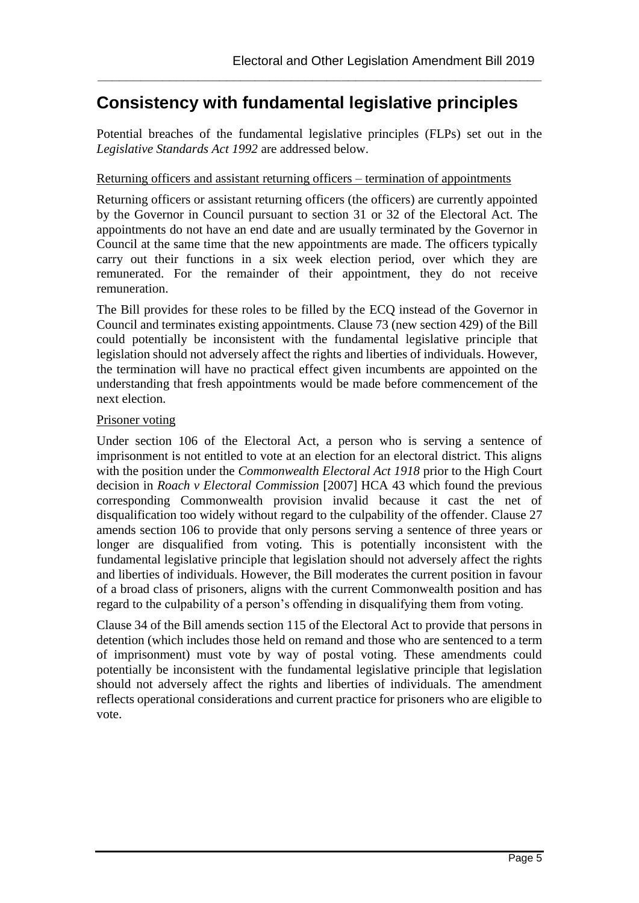## **Consistency with fundamental legislative principles**

Potential breaches of the fundamental legislative principles (FLPs) set out in the *Legislative Standards Act 1992* are addressed below.

**\_\_\_\_\_\_\_\_\_\_\_\_\_\_\_\_\_\_\_\_\_\_\_\_\_\_\_\_\_\_\_\_\_\_\_\_\_\_\_\_\_\_\_\_\_\_\_\_\_\_\_\_\_\_\_\_\_\_\_\_\_\_**

#### Returning officers and assistant returning officers – termination of appointments

Returning officers or assistant returning officers (the officers) are currently appointed by the Governor in Council pursuant to section 31 or 32 of the Electoral Act. The appointments do not have an end date and are usually terminated by the Governor in Council at the same time that the new appointments are made. The officers typically carry out their functions in a six week election period, over which they are remunerated. For the remainder of their appointment, they do not receive remuneration.

The Bill provides for these roles to be filled by the ECQ instead of the Governor in Council and terminates existing appointments. Clause 73 (new section 429) of the Bill could potentially be inconsistent with the fundamental legislative principle that legislation should not adversely affect the rights and liberties of individuals. However, the termination will have no practical effect given incumbents are appointed on the understanding that fresh appointments would be made before commencement of the next election.

#### Prisoner voting

Under section 106 of the Electoral Act, a person who is serving a sentence of imprisonment is not entitled to vote at an election for an electoral district. This aligns with the position under the *Commonwealth Electoral Act 1918* prior to the High Court decision in *Roach v Electoral Commission* [2007] HCA 43 which found the previous corresponding Commonwealth provision invalid because it cast the net of disqualification too widely without regard to the culpability of the offender. Clause 27 amends section 106 to provide that only persons serving a sentence of three years or longer are disqualified from voting. This is potentially inconsistent with the fundamental legislative principle that legislation should not adversely affect the rights and liberties of individuals. However, the Bill moderates the current position in favour of a broad class of prisoners, aligns with the current Commonwealth position and has regard to the culpability of a person's offending in disqualifying them from voting.

Clause 34 of the Bill amends section 115 of the Electoral Act to provide that persons in detention (which includes those held on remand and those who are sentenced to a term of imprisonment) must vote by way of postal voting. These amendments could potentially be inconsistent with the fundamental legislative principle that legislation should not adversely affect the rights and liberties of individuals. The amendment reflects operational considerations and current practice for prisoners who are eligible to vote.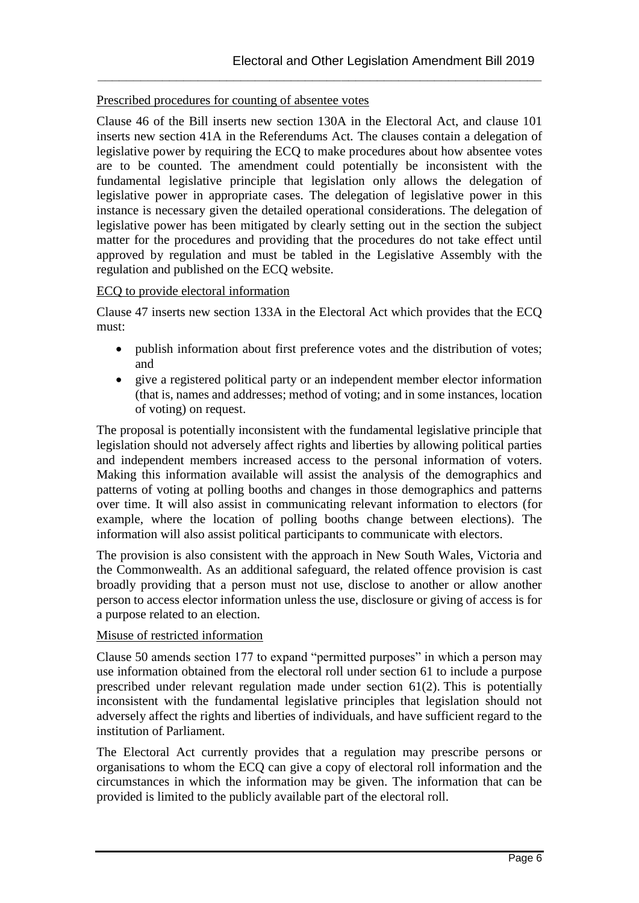## Prescribed procedures for counting of absentee votes

Clause 46 of the Bill inserts new section 130A in the Electoral Act, and clause 101 inserts new section 41A in the Referendums Act*.* The clauses contain a delegation of legislative power by requiring the ECQ to make procedures about how absentee votes are to be counted. The amendment could potentially be inconsistent with the fundamental legislative principle that legislation only allows the delegation of legislative power in appropriate cases. The delegation of legislative power in this instance is necessary given the detailed operational considerations. The delegation of legislative power has been mitigated by clearly setting out in the section the subject matter for the procedures and providing that the procedures do not take effect until approved by regulation and must be tabled in the Legislative Assembly with the regulation and published on the ECQ website.

**\_\_\_\_\_\_\_\_\_\_\_\_\_\_\_\_\_\_\_\_\_\_\_\_\_\_\_\_\_\_\_\_\_\_\_\_\_\_\_\_\_\_\_\_\_\_\_\_\_\_\_\_\_\_\_\_\_\_\_\_\_\_**

## ECQ to provide electoral information

Clause 47 inserts new section 133A in the Electoral Act which provides that the ECQ must:

- publish information about first preference votes and the distribution of votes; and
- give a registered political party or an independent member elector information (that is, names and addresses; method of voting; and in some instances, location of voting) on request.

The proposal is potentially inconsistent with the fundamental legislative principle that legislation should not adversely affect rights and liberties by allowing political parties and independent members increased access to the personal information of voters. Making this information available will assist the analysis of the demographics and patterns of voting at polling booths and changes in those demographics and patterns over time. It will also assist in communicating relevant information to electors (for example, where the location of polling booths change between elections). The information will also assist political participants to communicate with electors.

The provision is also consistent with the approach in New South Wales, Victoria and the Commonwealth. As an additional safeguard, the related offence provision is cast broadly providing that a person must not use, disclose to another or allow another person to access elector information unless the use, disclosure or giving of access is for a purpose related to an election.

#### Misuse of restricted information

Clause 50 amends section 177 to expand "permitted purposes" in which a person may use information obtained from the electoral roll under section 61 to include a purpose prescribed under relevant regulation made under section 61(2). This is potentially inconsistent with the fundamental legislative principles that legislation should not adversely affect the rights and liberties of individuals, and have sufficient regard to the institution of Parliament.

The Electoral Act currently provides that a regulation may prescribe persons or organisations to whom the ECQ can give a copy of electoral roll information and the circumstances in which the information may be given. The information that can be provided is limited to the publicly available part of the electoral roll.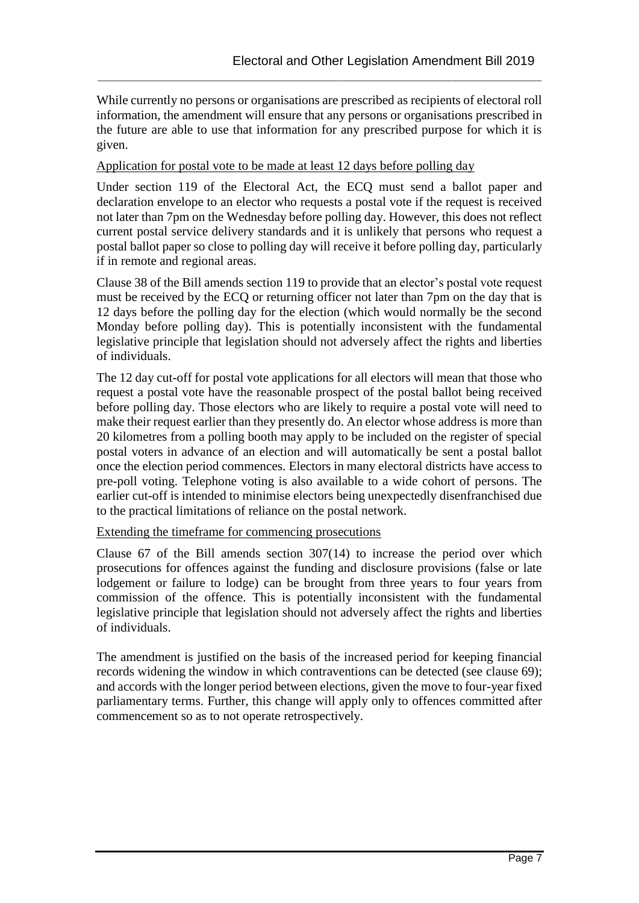While currently no persons or organisations are prescribed as recipients of electoral roll information, the amendment will ensure that any persons or organisations prescribed in the future are able to use that information for any prescribed purpose for which it is given.

**\_\_\_\_\_\_\_\_\_\_\_\_\_\_\_\_\_\_\_\_\_\_\_\_\_\_\_\_\_\_\_\_\_\_\_\_\_\_\_\_\_\_\_\_\_\_\_\_\_\_\_\_\_\_\_\_\_\_\_\_\_\_**

Application for postal vote to be made at least 12 days before polling day

Under section 119 of the Electoral Act, the ECQ must send a ballot paper and declaration envelope to an elector who requests a postal vote if the request is received not later than 7pm on the Wednesday before polling day. However, this does not reflect current postal service delivery standards and it is unlikely that persons who request a postal ballot paper so close to polling day will receive it before polling day, particularly if in remote and regional areas.

Clause 38 of the Bill amends section 119 to provide that an elector's postal vote request must be received by the ECQ or returning officer not later than 7pm on the day that is 12 days before the polling day for the election (which would normally be the second Monday before polling day). This is potentially inconsistent with the fundamental legislative principle that legislation should not adversely affect the rights and liberties of individuals.

The 12 day cut-off for postal vote applications for all electors will mean that those who request a postal vote have the reasonable prospect of the postal ballot being received before polling day. Those electors who are likely to require a postal vote will need to make their request earlier than they presently do. An elector whose address is more than 20 kilometres from a polling booth may apply to be included on the register of special postal voters in advance of an election and will automatically be sent a postal ballot once the election period commences. Electors in many electoral districts have access to pre-poll voting. Telephone voting is also available to a wide cohort of persons. The earlier cut-off is intended to minimise electors being unexpectedly disenfranchised due to the practical limitations of reliance on the postal network.

Extending the timeframe for commencing prosecutions

Clause 67 of the Bill amends section 307(14) to increase the period over which prosecutions for offences against the funding and disclosure provisions (false or late lodgement or failure to lodge) can be brought from three years to four years from commission of the offence. This is potentially inconsistent with the fundamental legislative principle that legislation should not adversely affect the rights and liberties of individuals.

The amendment is justified on the basis of the increased period for keeping financial records widening the window in which contraventions can be detected (see clause 69); and accords with the longer period between elections, given the move to four-year fixed parliamentary terms. Further, this change will apply only to offences committed after commencement so as to not operate retrospectively.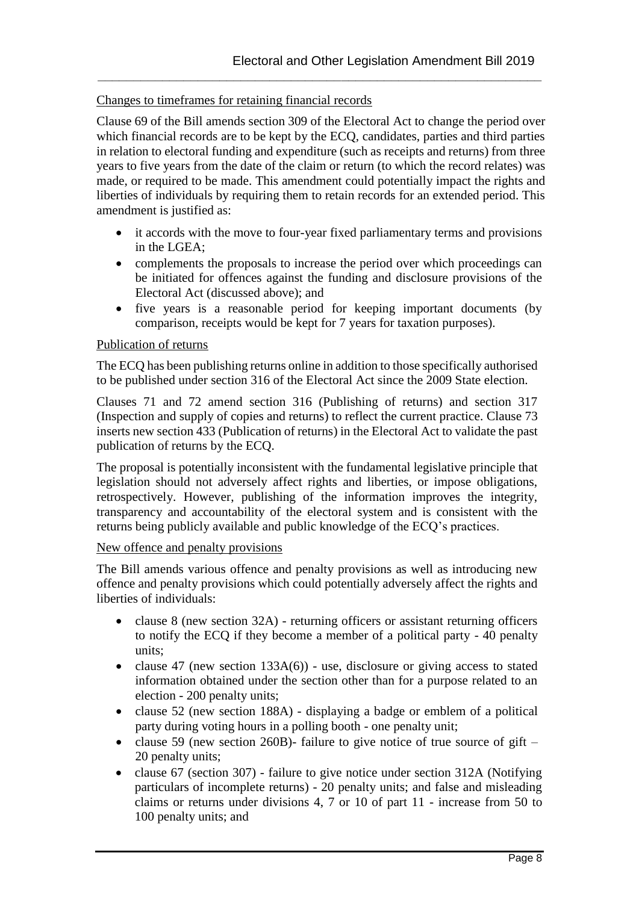## Changes to timeframes for retaining financial records

Clause 69 of the Bill amends section 309 of the Electoral Act to change the period over which financial records are to be kept by the ECQ, candidates, parties and third parties in relation to electoral funding and expenditure (such as receipts and returns) from three years to five years from the date of the claim or return (to which the record relates) was made, or required to be made. This amendment could potentially impact the rights and liberties of individuals by requiring them to retain records for an extended period. This amendment is justified as:

**\_\_\_\_\_\_\_\_\_\_\_\_\_\_\_\_\_\_\_\_\_\_\_\_\_\_\_\_\_\_\_\_\_\_\_\_\_\_\_\_\_\_\_\_\_\_\_\_\_\_\_\_\_\_\_\_\_\_\_\_\_\_**

- it accords with the move to four-year fixed parliamentary terms and provisions in the LGEA;
- complements the proposals to increase the period over which proceedings can be initiated for offences against the funding and disclosure provisions of the Electoral Act (discussed above); and
- five years is a reasonable period for keeping important documents (by comparison, receipts would be kept for 7 years for taxation purposes).

#### Publication of returns

The ECQ has been publishing returns online in addition to those specifically authorised to be published under section 316 of the Electoral Act since the 2009 State election.

Clauses 71 and 72 amend section 316 (Publishing of returns) and section 317 (Inspection and supply of copies and returns) to reflect the current practice. Clause 73 inserts new section 433 (Publication of returns) in the Electoral Act to validate the past publication of returns by the ECQ.

The proposal is potentially inconsistent with the fundamental legislative principle that legislation should not adversely affect rights and liberties, or impose obligations, retrospectively. However, publishing of the information improves the integrity, transparency and accountability of the electoral system and is consistent with the returns being publicly available and public knowledge of the ECQ's practices.

#### New offence and penalty provisions

The Bill amends various offence and penalty provisions as well as introducing new offence and penalty provisions which could potentially adversely affect the rights and liberties of individuals:

- clause 8 (new section 32A) returning officers or assistant returning officers to notify the ECQ if they become a member of a political party - 40 penalty units;
- clause 47 (new section  $133A(6)$ ) use, disclosure or giving access to stated information obtained under the section other than for a purpose related to an election - 200 penalty units;
- clause  $52$  (new section 188A) displaying a badge or emblem of a political party during voting hours in a polling booth - one penalty unit;
- clause 59 (new section 260B)- failure to give notice of true source of gift 20 penalty units;
- clause 67 (section 307) failure to give notice under section 312A (Notifying particulars of incomplete returns) - 20 penalty units; and false and misleading claims or returns under divisions 4, 7 or 10 of part 11 - increase from 50 to 100 penalty units; and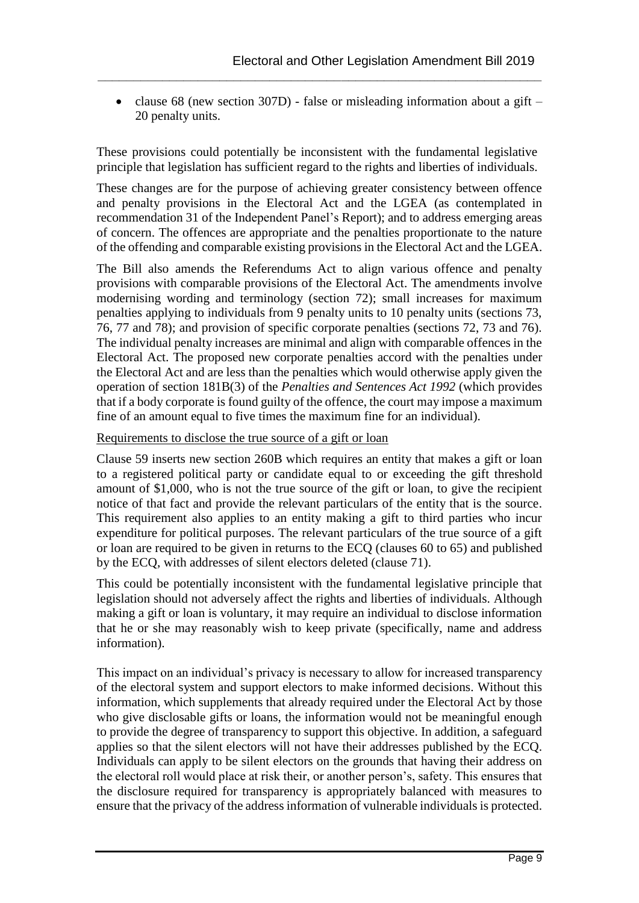• clause 68 (new section 307D) - false or misleading information about a gift – 20 penalty units.

**\_\_\_\_\_\_\_\_\_\_\_\_\_\_\_\_\_\_\_\_\_\_\_\_\_\_\_\_\_\_\_\_\_\_\_\_\_\_\_\_\_\_\_\_\_\_\_\_\_\_\_\_\_\_\_\_\_\_\_\_\_\_**

These provisions could potentially be inconsistent with the fundamental legislative principle that legislation has sufficient regard to the rights and liberties of individuals.

These changes are for the purpose of achieving greater consistency between offence and penalty provisions in the Electoral Act and the LGEA (as contemplated in recommendation 31 of the Independent Panel's Report); and to address emerging areas of concern. The offences are appropriate and the penalties proportionate to the nature of the offending and comparable existing provisions in the Electoral Act and the LGEA.

The Bill also amends the Referendums Act to align various offence and penalty provisions with comparable provisions of the Electoral Act. The amendments involve modernising wording and terminology (section 72); small increases for maximum penalties applying to individuals from 9 penalty units to 10 penalty units (sections 73, 76, 77 and 78); and provision of specific corporate penalties (sections 72, 73 and 76). The individual penalty increases are minimal and align with comparable offences in the Electoral Act. The proposed new corporate penalties accord with the penalties under the Electoral Act and are less than the penalties which would otherwise apply given the operation of section 181B(3) of the *Penalties and Sentences Act 1992* (which provides that if a body corporate is found guilty of the offence, the court may impose a maximum fine of an amount equal to five times the maximum fine for an individual).

## Requirements to disclose the true source of a gift or loan

Clause 59 inserts new section 260B which requires an entity that makes a gift or loan to a registered political party or candidate equal to or exceeding the gift threshold amount of \$1,000, who is not the true source of the gift or loan, to give the recipient notice of that fact and provide the relevant particulars of the entity that is the source. This requirement also applies to an entity making a gift to third parties who incur expenditure for political purposes. The relevant particulars of the true source of a gift or loan are required to be given in returns to the ECQ (clauses 60 to 65) and published by the ECQ, with addresses of silent electors deleted (clause 71).

This could be potentially inconsistent with the fundamental legislative principle that legislation should not adversely affect the rights and liberties of individuals. Although making a gift or loan is voluntary, it may require an individual to disclose information that he or she may reasonably wish to keep private (specifically, name and address information).

This impact on an individual's privacy is necessary to allow for increased transparency of the electoral system and support electors to make informed decisions. Without this information, which supplements that already required under the Electoral Act by those who give disclosable gifts or loans, the information would not be meaningful enough to provide the degree of transparency to support this objective. In addition, a safeguard applies so that the silent electors will not have their addresses published by the ECQ. Individuals can apply to be silent electors on the grounds that having their address on the electoral roll would place at risk their, or another person's, safety. This ensures that the disclosure required for transparency is appropriately balanced with measures to ensure that the privacy of the address information of vulnerable individuals is protected.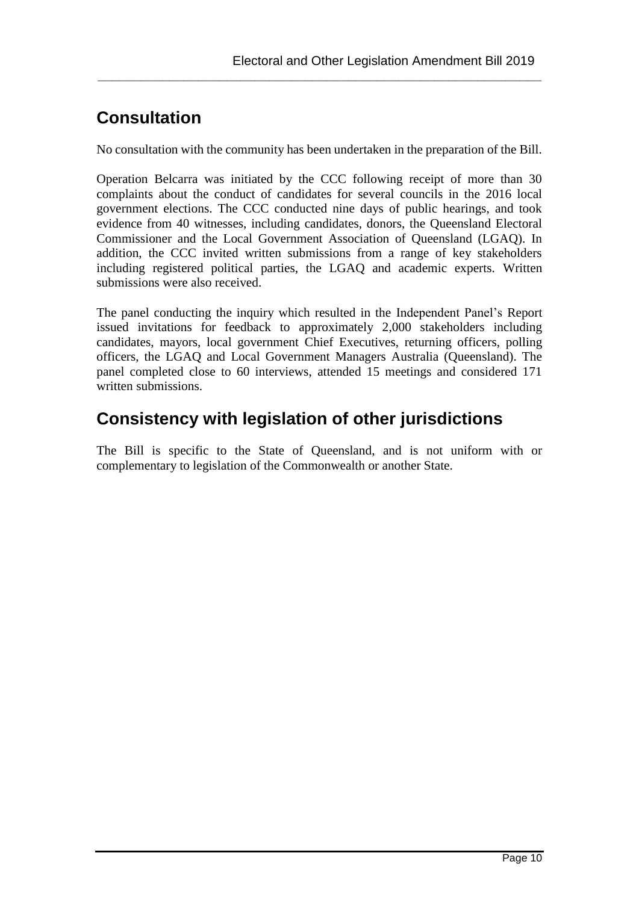## **Consultation**

No consultation with the community has been undertaken in the preparation of the Bill.

**\_\_\_\_\_\_\_\_\_\_\_\_\_\_\_\_\_\_\_\_\_\_\_\_\_\_\_\_\_\_\_\_\_\_\_\_\_\_\_\_\_\_\_\_\_\_\_\_\_\_\_\_\_\_\_\_\_\_\_\_\_\_**

Operation Belcarra was initiated by the CCC following receipt of more than 30 complaints about the conduct of candidates for several councils in the 2016 local government elections. The CCC conducted nine days of public hearings, and took evidence from 40 witnesses, including candidates, donors, the Queensland Electoral Commissioner and the Local Government Association of Queensland (LGAQ). In addition, the CCC invited written submissions from a range of key stakeholders including registered political parties, the LGAQ and academic experts. Written submissions were also received.

The panel conducting the inquiry which resulted in the Independent Panel's Report issued invitations for feedback to approximately 2,000 stakeholders including candidates, mayors, local government Chief Executives, returning officers, polling officers, the LGAQ and Local Government Managers Australia (Queensland). The panel completed close to 60 interviews, attended 15 meetings and considered 171 written submissions.

## **Consistency with legislation of other jurisdictions**

The Bill is specific to the State of Queensland, and is not uniform with or complementary to legislation of the Commonwealth or another State.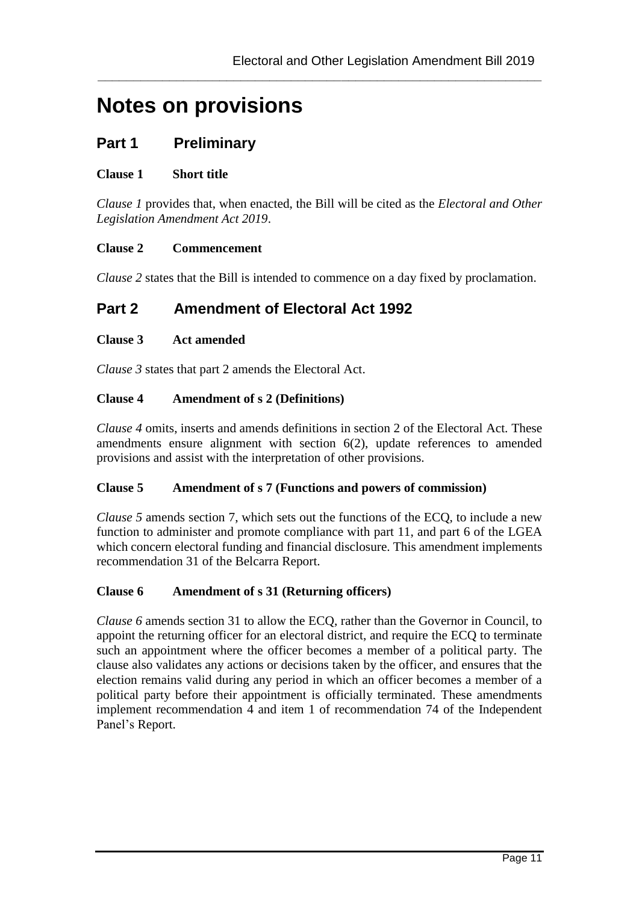# **Notes on provisions**

## **Part 1 Preliminary**

## **Clause 1 Short title**

*Clause 1* provides that, when enacted, the Bill will be cited as the *Electoral and Other Legislation Amendment Act 2019*.

**\_\_\_\_\_\_\_\_\_\_\_\_\_\_\_\_\_\_\_\_\_\_\_\_\_\_\_\_\_\_\_\_\_\_\_\_\_\_\_\_\_\_\_\_\_\_\_\_\_\_\_\_\_\_\_\_\_\_\_\_\_\_**

#### **Clause 2 Commencement**

*Clause 2* states that the Bill is intended to commence on a day fixed by proclamation.

## **Part 2 Amendment of Electoral Act 1992**

#### **Clause 3 Act amended**

*Clause 3* states that part 2 amends the Electoral Act.

#### **Clause 4 Amendment of s 2 (Definitions)**

*Clause 4* omits, inserts and amends definitions in section 2 of the Electoral Act. These amendments ensure alignment with section 6(2), update references to amended provisions and assist with the interpretation of other provisions.

#### **Clause 5 Amendment of s 7 (Functions and powers of commission)**

*Clause 5* amends section 7, which sets out the functions of the ECQ, to include a new function to administer and promote compliance with part 11, and part 6 of the LGEA which concern electoral funding and financial disclosure. This amendment implements recommendation 31 of the Belcarra Report.

## **Clause 6 Amendment of s 31 (Returning officers)**

*Clause 6* amends section 31 to allow the ECQ, rather than the Governor in Council, to appoint the returning officer for an electoral district, and require the ECQ to terminate such an appointment where the officer becomes a member of a political party. The clause also validates any actions or decisions taken by the officer, and ensures that the election remains valid during any period in which an officer becomes a member of a political party before their appointment is officially terminated. These amendments implement recommendation 4 and item 1 of recommendation 74 of the Independent Panel's Report.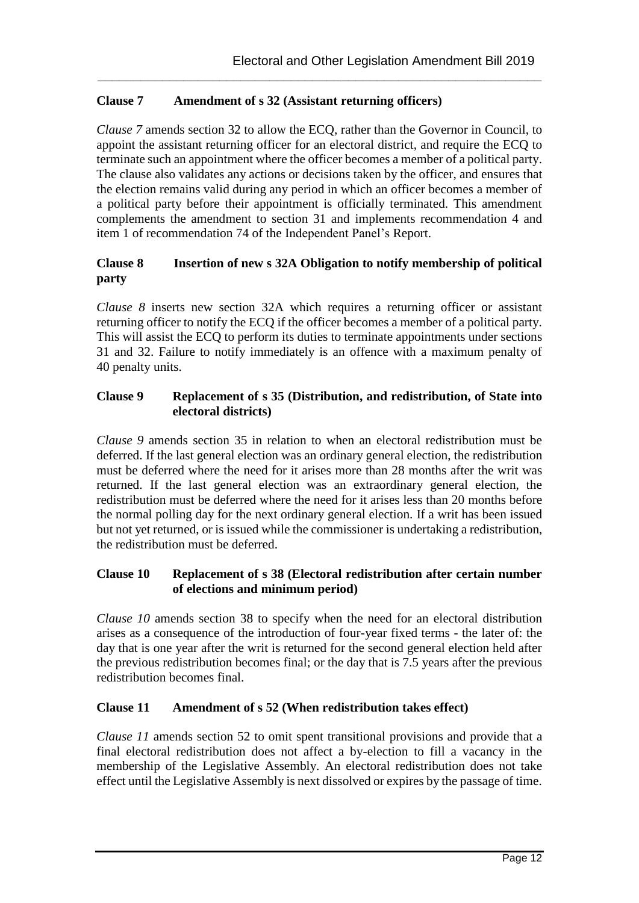## **Clause 7 Amendment of s 32 (Assistant returning officers)**

*Clause 7* amends section 32 to allow the ECQ, rather than the Governor in Council, to appoint the assistant returning officer for an electoral district, and require the ECQ to terminate such an appointment where the officer becomes a member of a political party. The clause also validates any actions or decisions taken by the officer, and ensures that the election remains valid during any period in which an officer becomes a member of a political party before their appointment is officially terminated. This amendment complements the amendment to section 31 and implements recommendation 4 and item 1 of recommendation 74 of the Independent Panel's Report.

**\_\_\_\_\_\_\_\_\_\_\_\_\_\_\_\_\_\_\_\_\_\_\_\_\_\_\_\_\_\_\_\_\_\_\_\_\_\_\_\_\_\_\_\_\_\_\_\_\_\_\_\_\_\_\_\_\_\_\_\_\_\_**

## **Clause 8 Insertion of new s 32A Obligation to notify membership of political party**

*Clause 8* inserts new section 32A which requires a returning officer or assistant returning officer to notify the ECQ if the officer becomes a member of a political party. This will assist the ECQ to perform its duties to terminate appointments under sections 31 and 32. Failure to notify immediately is an offence with a maximum penalty of 40 penalty units.

## **Clause 9 Replacement of s 35 (Distribution, and redistribution, of State into electoral districts)**

*Clause 9* amends section 35 in relation to when an electoral redistribution must be deferred. If the last general election was an ordinary general election, the redistribution must be deferred where the need for it arises more than 28 months after the writ was returned. If the last general election was an extraordinary general election, the redistribution must be deferred where the need for it arises less than 20 months before the normal polling day for the next ordinary general election. If a writ has been issued but not yet returned, or is issued while the commissioner is undertaking a redistribution, the redistribution must be deferred.

## **Clause 10 Replacement of s 38 (Electoral redistribution after certain number of elections and minimum period)**

*Clause 10* amends section 38 to specify when the need for an electoral distribution arises as a consequence of the introduction of four-year fixed terms - the later of: the day that is one year after the writ is returned for the second general election held after the previous redistribution becomes final; or the day that is 7.5 years after the previous redistribution becomes final.

## **Clause 11 Amendment of s 52 (When redistribution takes effect)**

*Clause 11* amends section 52 to omit spent transitional provisions and provide that a final electoral redistribution does not affect a by-election to fill a vacancy in the membership of the Legislative Assembly. An electoral redistribution does not take effect until the Legislative Assembly is next dissolved or expires by the passage of time.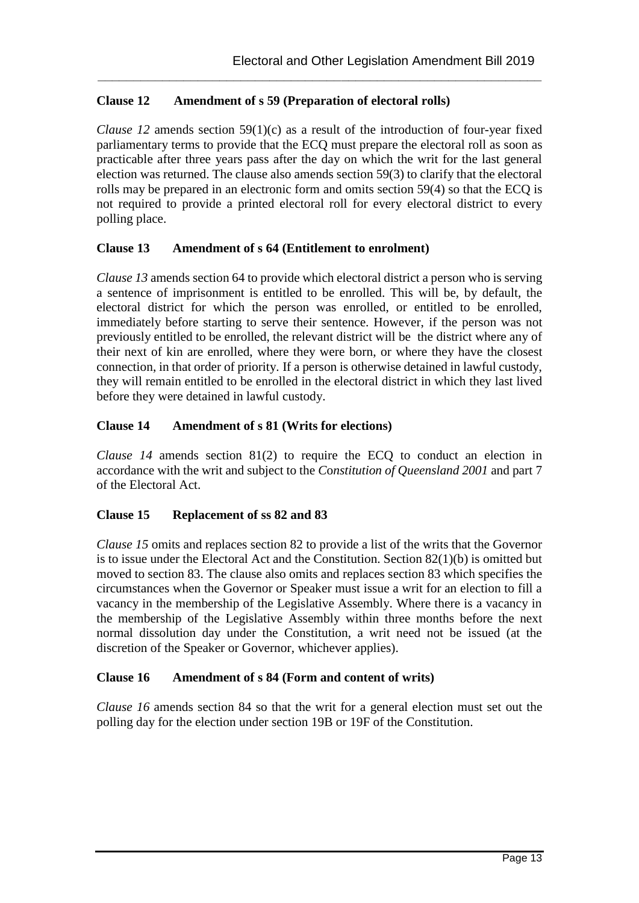## **Clause 12 Amendment of s 59 (Preparation of electoral rolls)**

*Clause 12* amends section 59(1)(c) as a result of the introduction of four-year fixed parliamentary terms to provide that the ECQ must prepare the electoral roll as soon as practicable after three years pass after the day on which the writ for the last general election was returned. The clause also amends section 59(3) to clarify that the electoral rolls may be prepared in an electronic form and omits section 59(4) so that the ECQ is not required to provide a printed electoral roll for every electoral district to every polling place.

**\_\_\_\_\_\_\_\_\_\_\_\_\_\_\_\_\_\_\_\_\_\_\_\_\_\_\_\_\_\_\_\_\_\_\_\_\_\_\_\_\_\_\_\_\_\_\_\_\_\_\_\_\_\_\_\_\_\_\_\_\_\_**

## **Clause 13 Amendment of s 64 (Entitlement to enrolment)**

*Clause 13* amends section 64 to provide which electoral district a person who is serving a sentence of imprisonment is entitled to be enrolled. This will be, by default, the electoral district for which the person was enrolled, or entitled to be enrolled, immediately before starting to serve their sentence. However, if the person was not previously entitled to be enrolled, the relevant district will be the district where any of their next of kin are enrolled, where they were born, or where they have the closest connection, in that order of priority. If a person is otherwise detained in lawful custody, they will remain entitled to be enrolled in the electoral district in which they last lived before they were detained in lawful custody.

## **Clause 14 Amendment of s 81 (Writs for elections)**

*Clause 14* amends section 81(2) to require the ECQ to conduct an election in accordance with the writ and subject to the *C*o*nstitution of Queensland 2001* and part 7 of the Electoral Act.

## **Clause 15 Replacement of ss 82 and 83**

*Clause 15* omits and replaces section 82 to provide a list of the writs that the Governor is to issue under the Electoral Act and the Constitution. Section 82(1)(b) is omitted but moved to section 83. The clause also omits and replaces section 83 which specifies the circumstances when the Governor or Speaker must issue a writ for an election to fill a vacancy in the membership of the Legislative Assembly. Where there is a vacancy in the membership of the Legislative Assembly within three months before the next normal dissolution day under the Constitution, a writ need not be issued (at the discretion of the Speaker or Governor, whichever applies).

## **Clause 16 Amendment of s 84 (Form and content of writs)**

*Clause 16* amends section 84 so that the writ for a general election must set out the polling day for the election under section 19B or 19F of the Constitution.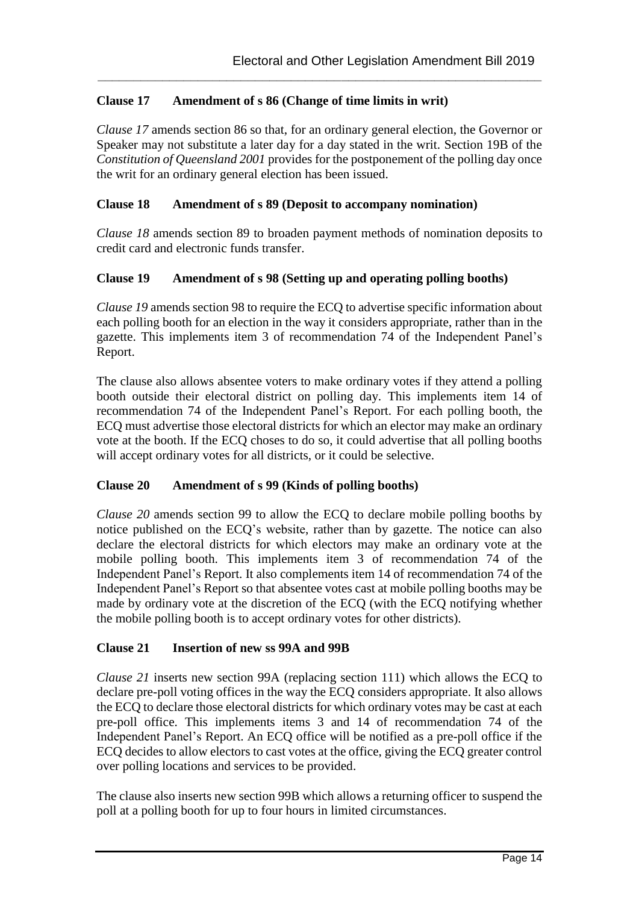## **Clause 17 Amendment of s 86 (Change of time limits in writ)**

*Clause 17* amends section 86 so that, for an ordinary general election, the Governor or Speaker may not substitute a later day for a day stated in the writ. Section 19B of the *Constitution of Queensland 2001* provides for the postponement of the polling day once the writ for an ordinary general election has been issued.

**\_\_\_\_\_\_\_\_\_\_\_\_\_\_\_\_\_\_\_\_\_\_\_\_\_\_\_\_\_\_\_\_\_\_\_\_\_\_\_\_\_\_\_\_\_\_\_\_\_\_\_\_\_\_\_\_\_\_\_\_\_\_**

### **Clause 18 Amendment of s 89 (Deposit to accompany nomination)**

*Clause 18* amends section 89 to broaden payment methods of nomination deposits to credit card and electronic funds transfer.

#### **Clause 19 Amendment of s 98 (Setting up and operating polling booths)**

*Clause 19* amends section 98 to require the ECQ to advertise specific information about each polling booth for an election in the way it considers appropriate, rather than in the gazette. This implements item 3 of recommendation 74 of the Independent Panel's Report.

The clause also allows absentee voters to make ordinary votes if they attend a polling booth outside their electoral district on polling day. This implements item 14 of recommendation 74 of the Independent Panel's Report. For each polling booth, the ECQ must advertise those electoral districts for which an elector may make an ordinary vote at the booth. If the ECQ choses to do so, it could advertise that all polling booths will accept ordinary votes for all districts, or it could be selective.

## **Clause 20 Amendment of s 99 (Kinds of polling booths)**

*Clause 20* amends section 99 to allow the ECQ to declare mobile polling booths by notice published on the ECQ's website, rather than by gazette. The notice can also declare the electoral districts for which electors may make an ordinary vote at the mobile polling booth. This implements item 3 of recommendation 74 of the Independent Panel's Report. It also complements item 14 of recommendation 74 of the Independent Panel's Report so that absentee votes cast at mobile polling booths may be made by ordinary vote at the discretion of the ECQ (with the ECQ notifying whether the mobile polling booth is to accept ordinary votes for other districts).

#### **Clause 21 Insertion of new ss 99A and 99B**

*Clause 21* inserts new section 99A (replacing section 111) which allows the ECQ to declare pre-poll voting offices in the way the ECQ considers appropriate. It also allows the ECQ to declare those electoral districts for which ordinary votes may be cast at each pre-poll office. This implements items 3 and 14 of recommendation 74 of the Independent Panel's Report. An ECQ office will be notified as a pre-poll office if the ECQ decides to allow electors to cast votes at the office, giving the ECQ greater control over polling locations and services to be provided.

The clause also inserts new section 99B which allows a returning officer to suspend the poll at a polling booth for up to four hours in limited circumstances.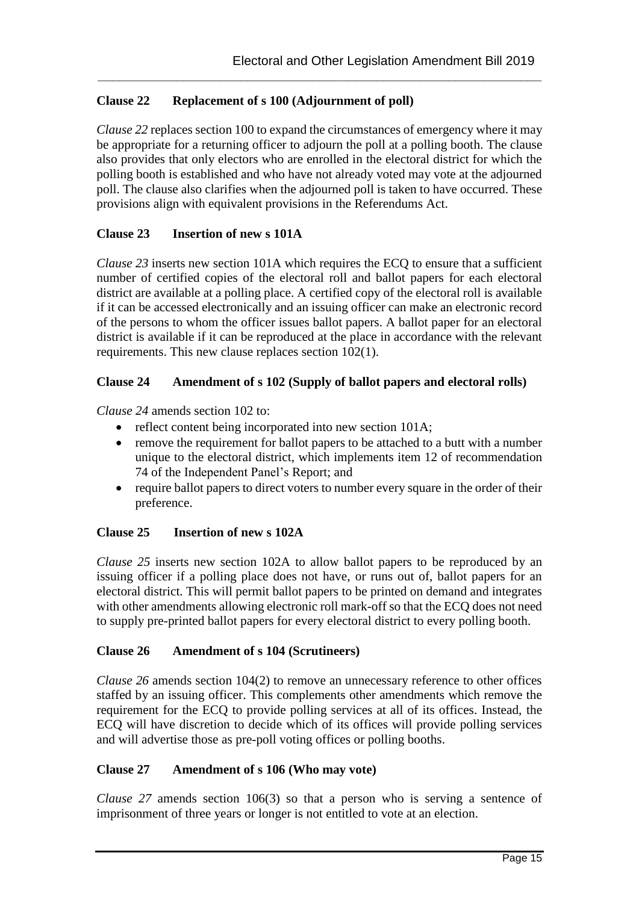## **Clause 22 Replacement of s 100 (Adjournment of poll)**

*Clause 22* replaces section 100 to expand the circumstances of emergency where it may be appropriate for a returning officer to adjourn the poll at a polling booth. The clause also provides that only electors who are enrolled in the electoral district for which the polling booth is established and who have not already voted may vote at the adjourned poll. The clause also clarifies when the adjourned poll is taken to have occurred. These provisions align with equivalent provisions in the Referendums Act.

**\_\_\_\_\_\_\_\_\_\_\_\_\_\_\_\_\_\_\_\_\_\_\_\_\_\_\_\_\_\_\_\_\_\_\_\_\_\_\_\_\_\_\_\_\_\_\_\_\_\_\_\_\_\_\_\_\_\_\_\_\_\_**

## **Clause 23 Insertion of new s 101A**

*Clause 23* inserts new section 101A which requires the ECQ to ensure that a sufficient number of certified copies of the electoral roll and ballot papers for each electoral district are available at a polling place. A certified copy of the electoral roll is available if it can be accessed electronically and an issuing officer can make an electronic record of the persons to whom the officer issues ballot papers. A ballot paper for an electoral district is available if it can be reproduced at the place in accordance with the relevant requirements. This new clause replaces section 102(1).

## **Clause 24 Amendment of s 102 (Supply of ballot papers and electoral rolls)**

*Clause 24* amends section 102 to:

- reflect content being incorporated into new section 101A;
- remove the requirement for ballot papers to be attached to a butt with a number unique to the electoral district, which implements item 12 of recommendation 74 of the Independent Panel's Report; and
- require ballot papers to direct voters to number every square in the order of their preference.

## **Clause 25 Insertion of new s 102A**

*Clause 25* inserts new section 102A to allow ballot papers to be reproduced by an issuing officer if a polling place does not have, or runs out of, ballot papers for an electoral district. This will permit ballot papers to be printed on demand and integrates with other amendments allowing electronic roll mark-off so that the ECQ does not need to supply pre-printed ballot papers for every electoral district to every polling booth.

## **Clause 26 Amendment of s 104 (Scrutineers)**

*Clause 26* amends section 104(2) to remove an unnecessary reference to other offices staffed by an issuing officer. This complements other amendments which remove the requirement for the ECQ to provide polling services at all of its offices. Instead, the ECQ will have discretion to decide which of its offices will provide polling services and will advertise those as pre-poll voting offices or polling booths.

## **Clause 27 Amendment of s 106 (Who may vote)**

*Clause 27* amends section 106(3) so that a person who is serving a sentence of imprisonment of three years or longer is not entitled to vote at an election.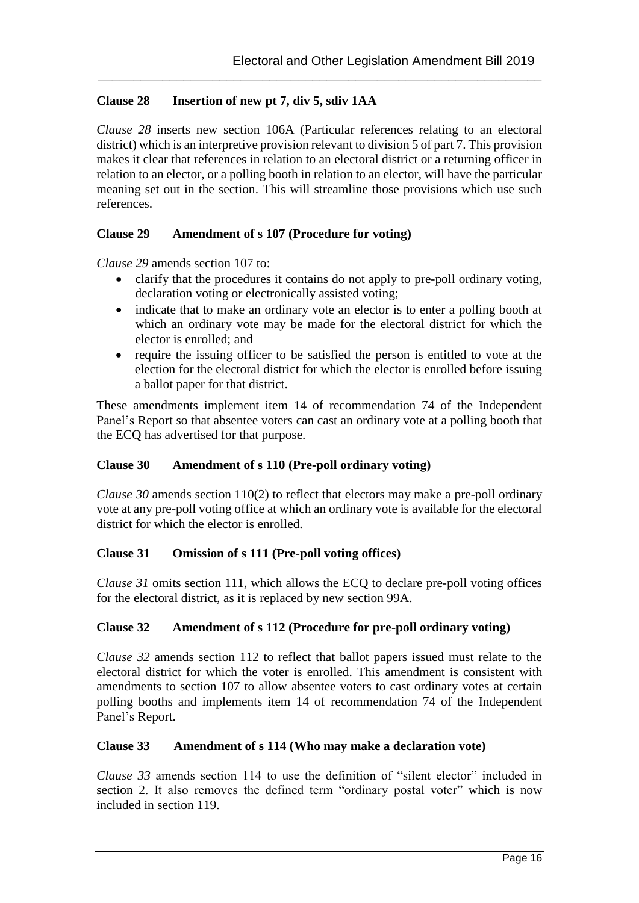## **Clause 28 Insertion of new pt 7, div 5, sdiv 1AA**

*Clause 28* inserts new section 106A (Particular references relating to an electoral district) which is an interpretive provision relevant to division 5 of part 7. This provision makes it clear that references in relation to an electoral district or a returning officer in relation to an elector, or a polling booth in relation to an elector, will have the particular meaning set out in the section. This will streamline those provisions which use such references.

**\_\_\_\_\_\_\_\_\_\_\_\_\_\_\_\_\_\_\_\_\_\_\_\_\_\_\_\_\_\_\_\_\_\_\_\_\_\_\_\_\_\_\_\_\_\_\_\_\_\_\_\_\_\_\_\_\_\_\_\_\_\_**

#### **Clause 29 Amendment of s 107 (Procedure for voting)**

*Clause 29* amends section 107 to:

- clarify that the procedures it contains do not apply to pre-poll ordinary voting, declaration voting or electronically assisted voting;
- indicate that to make an ordinary vote an elector is to enter a polling booth at which an ordinary vote may be made for the electoral district for which the elector is enrolled; and
- require the issuing officer to be satisfied the person is entitled to vote at the election for the electoral district for which the elector is enrolled before issuing a ballot paper for that district.

These amendments implement item 14 of recommendation 74 of the Independent Panel's Report so that absentee voters can cast an ordinary vote at a polling booth that the ECQ has advertised for that purpose.

## **Clause 30 Amendment of s 110 (Pre-poll ordinary voting)**

*Clause 30* amends section 110(2) to reflect that electors may make a pre-poll ordinary vote at any pre-poll voting office at which an ordinary vote is available for the electoral district for which the elector is enrolled.

## **Clause 31 Omission of s 111 (Pre-poll voting offices)**

*Clause 31* omits section 111, which allows the ECQ to declare pre-poll voting offices for the electoral district, as it is replaced by new section 99A.

## **Clause 32 Amendment of s 112 (Procedure for pre-poll ordinary voting)**

*Clause 32* amends section 112 to reflect that ballot papers issued must relate to the electoral district for which the voter is enrolled. This amendment is consistent with amendments to section 107 to allow absentee voters to cast ordinary votes at certain polling booths and implements item 14 of recommendation 74 of the Independent Panel's Report.

## **Clause 33 Amendment of s 114 (Who may make a declaration vote)**

*Clause 33* amends section 114 to use the definition of "silent elector" included in section 2. It also removes the defined term "ordinary postal voter" which is now included in section 119.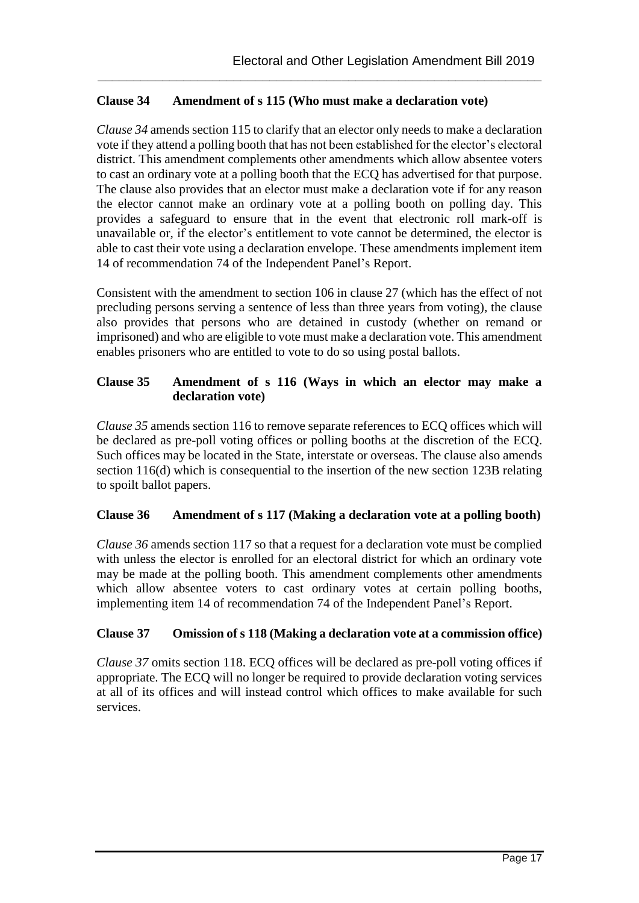## **Clause 34 Amendment of s 115 (Who must make a declaration vote)**

*Clause 34* amends section 115 to clarify that an elector only needs to make a declaration vote if they attend a polling booth that has not been established for the elector's electoral district. This amendment complements other amendments which allow absentee voters to cast an ordinary vote at a polling booth that the ECQ has advertised for that purpose. The clause also provides that an elector must make a declaration vote if for any reason the elector cannot make an ordinary vote at a polling booth on polling day. This provides a safeguard to ensure that in the event that electronic roll mark-off is unavailable or, if the elector's entitlement to vote cannot be determined, the elector is able to cast their vote using a declaration envelope. These amendments implement item 14 of recommendation 74 of the Independent Panel's Report.

**\_\_\_\_\_\_\_\_\_\_\_\_\_\_\_\_\_\_\_\_\_\_\_\_\_\_\_\_\_\_\_\_\_\_\_\_\_\_\_\_\_\_\_\_\_\_\_\_\_\_\_\_\_\_\_\_\_\_\_\_\_\_**

Consistent with the amendment to section 106 in clause 27 (which has the effect of not precluding persons serving a sentence of less than three years from voting), the clause also provides that persons who are detained in custody (whether on remand or imprisoned) and who are eligible to vote must make a declaration vote. This amendment enables prisoners who are entitled to vote to do so using postal ballots.

### **Clause 35 Amendment of s 116 (Ways in which an elector may make a declaration vote)**

*Clause 35* amends section 116 to remove separate references to ECQ offices which will be declared as pre-poll voting offices or polling booths at the discretion of the ECQ. Such offices may be located in the State, interstate or overseas. The clause also amends section 116(d) which is consequential to the insertion of the new section 123B relating to spoilt ballot papers.

## **Clause 36 Amendment of s 117 (Making a declaration vote at a polling booth)**

*Clause 36* amends section 117 so that a request for a declaration vote must be complied with unless the elector is enrolled for an electoral district for which an ordinary vote may be made at the polling booth. This amendment complements other amendments which allow absentee voters to cast ordinary votes at certain polling booths, implementing item 14 of recommendation 74 of the Independent Panel's Report.

## **Clause 37 Omission of s 118 (Making a declaration vote at a commission office)**

*Clause 37* omits section 118. ECQ offices will be declared as pre-poll voting offices if appropriate. The ECQ will no longer be required to provide declaration voting services at all of its offices and will instead control which offices to make available for such services.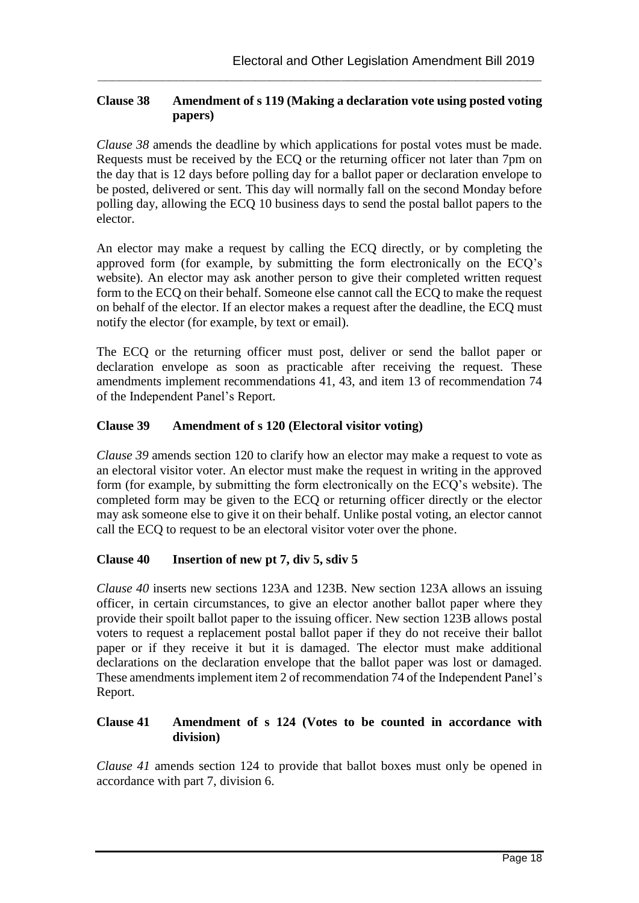## **Clause 38 Amendment of s 119 (Making a declaration vote using posted voting papers)**

**\_\_\_\_\_\_\_\_\_\_\_\_\_\_\_\_\_\_\_\_\_\_\_\_\_\_\_\_\_\_\_\_\_\_\_\_\_\_\_\_\_\_\_\_\_\_\_\_\_\_\_\_\_\_\_\_\_\_\_\_\_\_**

*Clause 38* amends the deadline by which applications for postal votes must be made. Requests must be received by the ECQ or the returning officer not later than 7pm on the day that is 12 days before polling day for a ballot paper or declaration envelope to be posted, delivered or sent. This day will normally fall on the second Monday before polling day, allowing the ECQ 10 business days to send the postal ballot papers to the elector.

An elector may make a request by calling the ECQ directly, or by completing the approved form (for example, by submitting the form electronically on the ECQ's website). An elector may ask another person to give their completed written request form to the ECQ on their behalf. Someone else cannot call the ECQ to make the request on behalf of the elector. If an elector makes a request after the deadline, the ECQ must notify the elector (for example, by text or email).

The ECQ or the returning officer must post, deliver or send the ballot paper or declaration envelope as soon as practicable after receiving the request. These amendments implement recommendations 41, 43, and item 13 of recommendation 74 of the Independent Panel's Report.

## **Clause 39 Amendment of s 120 (Electoral visitor voting)**

*Clause 39* amends section 120 to clarify how an elector may make a request to vote as an electoral visitor voter. An elector must make the request in writing in the approved form (for example, by submitting the form electronically on the ECQ's website). The completed form may be given to the ECQ or returning officer directly or the elector may ask someone else to give it on their behalf. Unlike postal voting, an elector cannot call the ECQ to request to be an electoral visitor voter over the phone.

## **Clause 40 Insertion of new pt 7, div 5, sdiv 5**

*Clause 40* inserts new sections 123A and 123B. New section 123A allows an issuing officer, in certain circumstances, to give an elector another ballot paper where they provide their spoilt ballot paper to the issuing officer. New section 123B allows postal voters to request a replacement postal ballot paper if they do not receive their ballot paper or if they receive it but it is damaged. The elector must make additional declarations on the declaration envelope that the ballot paper was lost or damaged. These amendments implement item 2 of recommendation 74 of the Independent Panel's Report.

## **Clause 41 Amendment of s 124 (Votes to be counted in accordance with division)**

*Clause 41* amends section 124 to provide that ballot boxes must only be opened in accordance with part 7, division 6.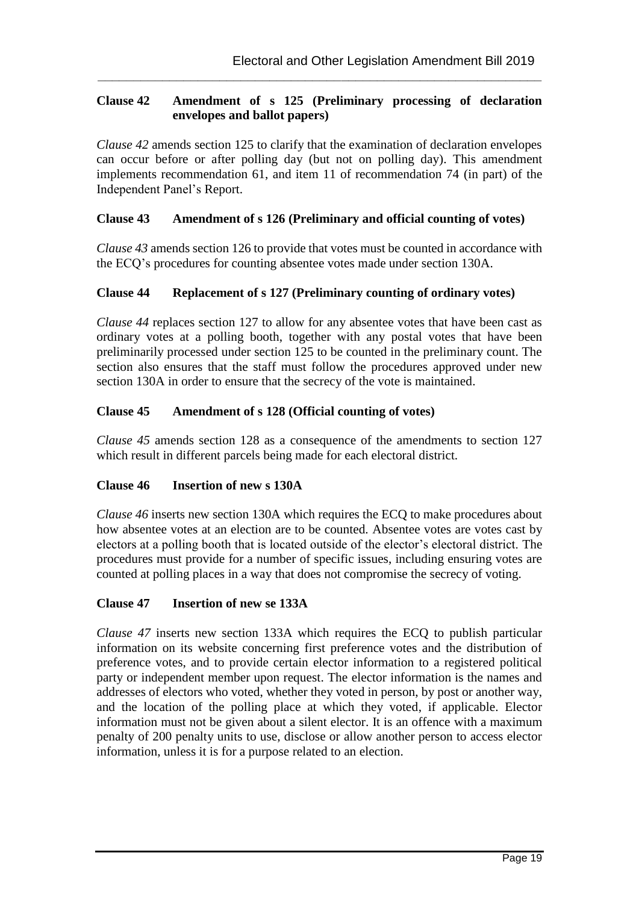## **Clause 42 Amendment of s 125 (Preliminary processing of declaration envelopes and ballot papers)**

**\_\_\_\_\_\_\_\_\_\_\_\_\_\_\_\_\_\_\_\_\_\_\_\_\_\_\_\_\_\_\_\_\_\_\_\_\_\_\_\_\_\_\_\_\_\_\_\_\_\_\_\_\_\_\_\_\_\_\_\_\_\_**

*Clause 42* amends section 125 to clarify that the examination of declaration envelopes can occur before or after polling day (but not on polling day). This amendment implements recommendation 61, and item 11 of recommendation 74 (in part) of the Independent Panel's Report.

#### **Clause 43 Amendment of s 126 (Preliminary and official counting of votes)**

*Clause 43* amends section 126 to provide that votes must be counted in accordance with the ECQ's procedures for counting absentee votes made under section 130A.

#### **Clause 44 Replacement of s 127 (Preliminary counting of ordinary votes)**

*Clause 44* replaces section 127 to allow for any absentee votes that have been cast as ordinary votes at a polling booth, together with any postal votes that have been preliminarily processed under section 125 to be counted in the preliminary count. The section also ensures that the staff must follow the procedures approved under new section 130A in order to ensure that the secrecy of the vote is maintained.

#### **Clause 45 Amendment of s 128 (Official counting of votes)**

*Clause 45* amends section 128 as a consequence of the amendments to section 127 which result in different parcels being made for each electoral district.

#### **Clause 46 Insertion of new s 130A**

*Clause 46* inserts new section 130A which requires the ECQ to make procedures about how absentee votes at an election are to be counted. Absentee votes are votes cast by electors at a polling booth that is located outside of the elector's electoral district. The procedures must provide for a number of specific issues, including ensuring votes are counted at polling places in a way that does not compromise the secrecy of voting.

#### **Clause 47 Insertion of new se 133A**

*Clause 47* inserts new section 133A which requires the ECQ to publish particular information on its website concerning first preference votes and the distribution of preference votes, and to provide certain elector information to a registered political party or independent member upon request. The elector information is the names and addresses of electors who voted, whether they voted in person, by post or another way, and the location of the polling place at which they voted, if applicable. Elector information must not be given about a silent elector. It is an offence with a maximum penalty of 200 penalty units to use, disclose or allow another person to access elector information, unless it is for a purpose related to an election.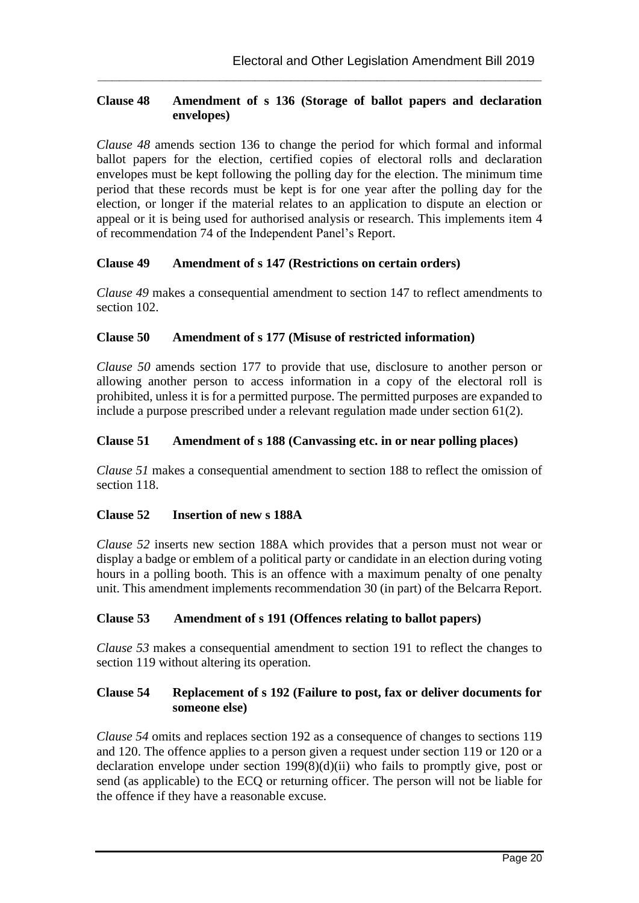#### **Clause 48 Amendment of s 136 (Storage of ballot papers and declaration envelopes)**

**\_\_\_\_\_\_\_\_\_\_\_\_\_\_\_\_\_\_\_\_\_\_\_\_\_\_\_\_\_\_\_\_\_\_\_\_\_\_\_\_\_\_\_\_\_\_\_\_\_\_\_\_\_\_\_\_\_\_\_\_\_\_**

*Clause 48* amends section 136 to change the period for which formal and informal ballot papers for the election, certified copies of electoral rolls and declaration envelopes must be kept following the polling day for the election. The minimum time period that these records must be kept is for one year after the polling day for the election, or longer if the material relates to an application to dispute an election or appeal or it is being used for authorised analysis or research. This implements item 4 of recommendation 74 of the Independent Panel's Report.

#### **Clause 49 Amendment of s 147 (Restrictions on certain orders)**

*Clause 49* makes a consequential amendment to section 147 to reflect amendments to section 102.

#### **Clause 50 Amendment of s 177 (Misuse of restricted information)**

*Clause 50* amends section 177 to provide that use, disclosure to another person or allowing another person to access information in a copy of the electoral roll is prohibited, unless it is for a permitted purpose. The permitted purposes are expanded to include a purpose prescribed under a relevant regulation made under section 61(2).

#### **Clause 51 Amendment of s 188 (Canvassing etc. in or near polling places)**

*Clause 51* makes a consequential amendment to section 188 to reflect the omission of section 118.

## **Clause 52 Insertion of new s 188A**

*Clause 52* inserts new section 188A which provides that a person must not wear or display a badge or emblem of a political party or candidate in an election during voting hours in a polling booth. This is an offence with a maximum penalty of one penalty unit. This amendment implements recommendation 30 (in part) of the Belcarra Report.

#### **Clause 53 Amendment of s 191 (Offences relating to ballot papers)**

*Clause 53* makes a consequential amendment to section 191 to reflect the changes to section 119 without altering its operation.

#### **Clause 54 Replacement of s 192 (Failure to post, fax or deliver documents for someone else)**

*Clause 54* omits and replaces section 192 as a consequence of changes to sections 119 and 120. The offence applies to a person given a request under section 119 or 120 or a declaration envelope under section 199(8)(d)(ii) who fails to promptly give, post or send (as applicable) to the ECQ or returning officer. The person will not be liable for the offence if they have a reasonable excuse.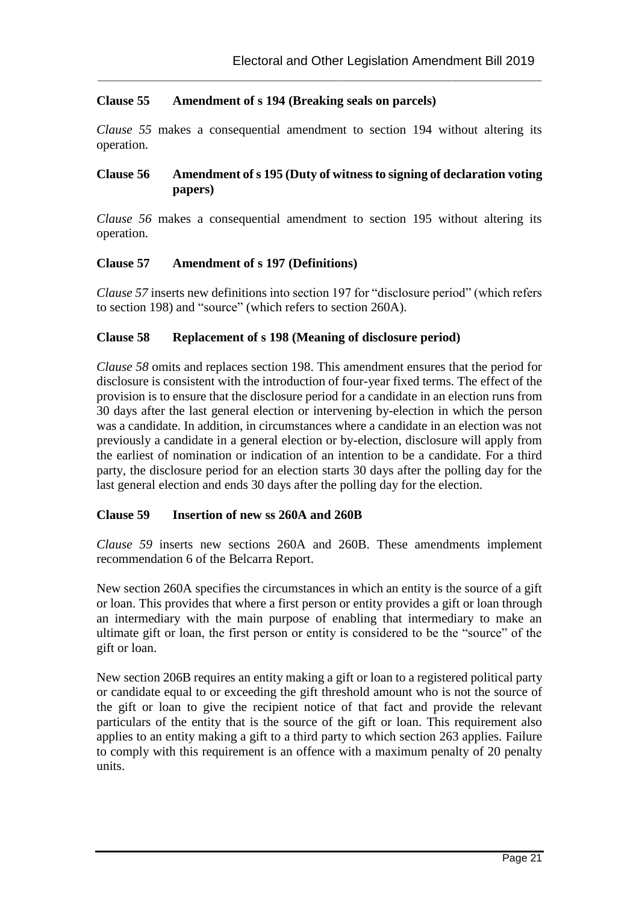#### **Clause 55 Amendment of s 194 (Breaking seals on parcels)**

*Clause 55* makes a consequential amendment to section 194 without altering its operation.

**\_\_\_\_\_\_\_\_\_\_\_\_\_\_\_\_\_\_\_\_\_\_\_\_\_\_\_\_\_\_\_\_\_\_\_\_\_\_\_\_\_\_\_\_\_\_\_\_\_\_\_\_\_\_\_\_\_\_\_\_\_\_**

#### **Clause 56 Amendment of s 195 (Duty of witness to signing of declaration voting papers)**

*Clause 56* makes a consequential amendment to section 195 without altering its operation.

#### **Clause 57 Amendment of s 197 (Definitions)**

*Clause 57* inserts new definitions into section 197 for "disclosure period" (which refers to section 198) and "source" (which refers to section 260A).

#### **Clause 58 Replacement of s 198 (Meaning of disclosure period)**

*Clause 58* omits and replaces section 198. This amendment ensures that the period for disclosure is consistent with the introduction of four-year fixed terms. The effect of the provision is to ensure that the disclosure period for a candidate in an election runs from 30 days after the last general election or intervening by-election in which the person was a candidate. In addition, in circumstances where a candidate in an election was not previously a candidate in a general election or by-election, disclosure will apply from the earliest of nomination or indication of an intention to be a candidate. For a third party, the disclosure period for an election starts 30 days after the polling day for the last general election and ends 30 days after the polling day for the election.

#### **Clause 59 Insertion of new ss 260A and 260B**

*Clause 59* inserts new sections 260A and 260B. These amendments implement recommendation 6 of the Belcarra Report.

New section 260A specifies the circumstances in which an entity is the source of a gift or loan. This provides that where a first person or entity provides a gift or loan through an intermediary with the main purpose of enabling that intermediary to make an ultimate gift or loan, the first person or entity is considered to be the "source" of the gift or loan.

New section 206B requires an entity making a gift or loan to a registered political party or candidate equal to or exceeding the gift threshold amount who is not the source of the gift or loan to give the recipient notice of that fact and provide the relevant particulars of the entity that is the source of the gift or loan. This requirement also applies to an entity making a gift to a third party to which section 263 applies. Failure to comply with this requirement is an offence with a maximum penalty of 20 penalty units.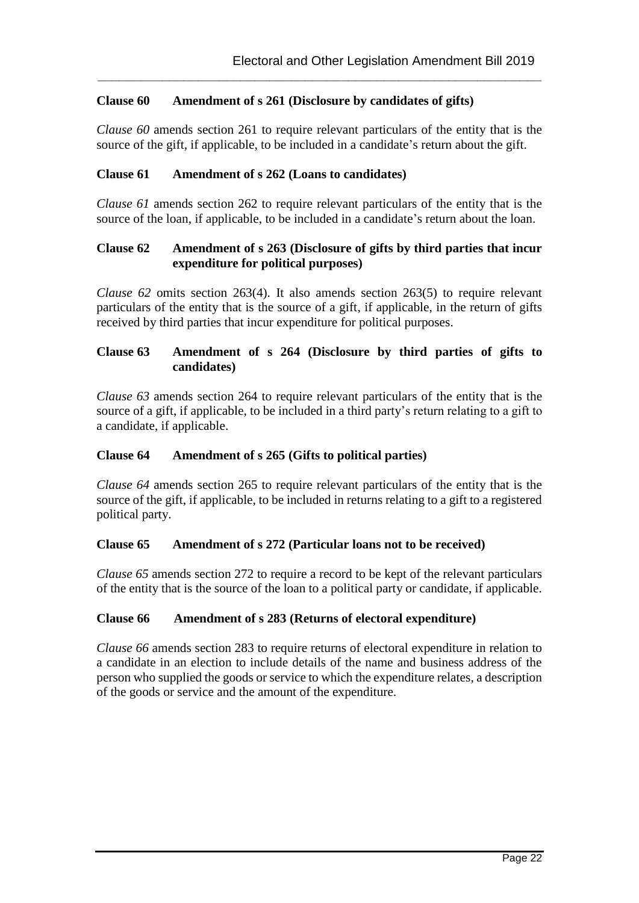#### **Clause 60 Amendment of s 261 (Disclosure by candidates of gifts)**

*Clause 60* amends section 261 to require relevant particulars of the entity that is the source of the gift, if applicable, to be included in a candidate's return about the gift.

**\_\_\_\_\_\_\_\_\_\_\_\_\_\_\_\_\_\_\_\_\_\_\_\_\_\_\_\_\_\_\_\_\_\_\_\_\_\_\_\_\_\_\_\_\_\_\_\_\_\_\_\_\_\_\_\_\_\_\_\_\_\_**

#### **Clause 61 Amendment of s 262 (Loans to candidates)**

*Clause 61* amends section 262 to require relevant particulars of the entity that is the source of the loan, if applicable, to be included in a candidate's return about the loan.

#### **Clause 62 Amendment of s 263 (Disclosure of gifts by third parties that incur expenditure for political purposes)**

*Clause 62* omits section 263(4). It also amends section 263(5) to require relevant particulars of the entity that is the source of a gift, if applicable, in the return of gifts received by third parties that incur expenditure for political purposes.

#### **Clause 63 Amendment of s 264 (Disclosure by third parties of gifts to candidates)**

*Clause 63* amends section 264 to require relevant particulars of the entity that is the source of a gift, if applicable, to be included in a third party's return relating to a gift to a candidate, if applicable.

#### **Clause 64 Amendment of s 265 (Gifts to political parties)**

*Clause 64* amends section 265 to require relevant particulars of the entity that is the source of the gift, if applicable, to be included in returns relating to a gift to a registered political party.

#### **Clause 65 Amendment of s 272 (Particular loans not to be received)**

*Clause 65* amends section 272 to require a record to be kept of the relevant particulars of the entity that is the source of the loan to a political party or candidate, if applicable.

#### **Clause 66 Amendment of s 283 (Returns of electoral expenditure)**

*Clause 66* amends section 283 to require returns of electoral expenditure in relation to a candidate in an election to include details of the name and business address of the person who supplied the goods or service to which the expenditure relates, a description of the goods or service and the amount of the expenditure.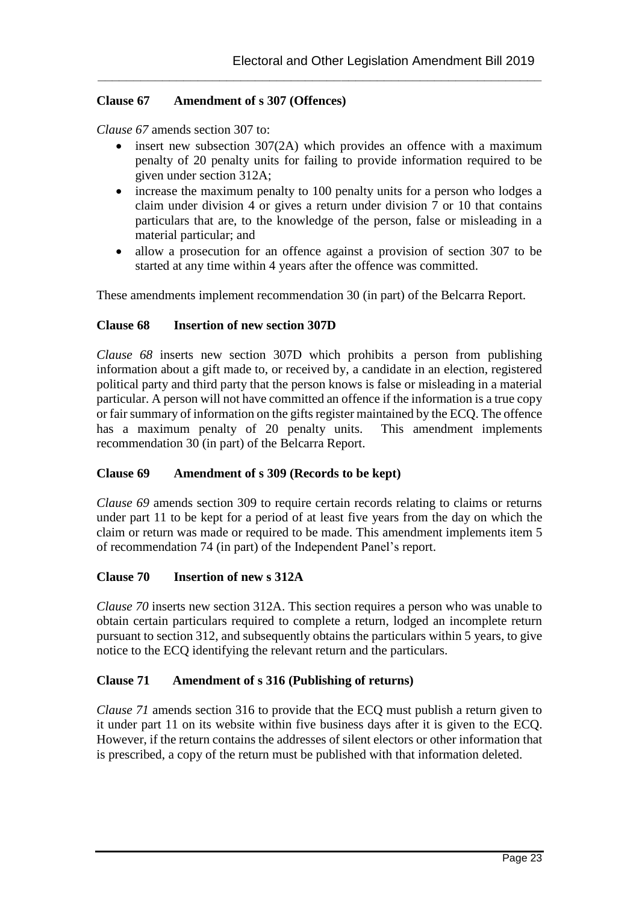#### **Clause 67 Amendment of s 307 (Offences)**

*Clause 67* amends section 307 to:

 insert new subsection 307(2A) which provides an offence with a maximum penalty of 20 penalty units for failing to provide information required to be given under section 312A;

**\_\_\_\_\_\_\_\_\_\_\_\_\_\_\_\_\_\_\_\_\_\_\_\_\_\_\_\_\_\_\_\_\_\_\_\_\_\_\_\_\_\_\_\_\_\_\_\_\_\_\_\_\_\_\_\_\_\_\_\_\_\_**

- increase the maximum penalty to 100 penalty units for a person who lodges a claim under division 4 or gives a return under division  $\overline{7}$  or 10 that contains particulars that are, to the knowledge of the person, false or misleading in a material particular; and
- allow a prosecution for an offence against a provision of section 307 to be started at any time within 4 years after the offence was committed.

These amendments implement recommendation 30 (in part) of the Belcarra Report.

#### **Clause 68 Insertion of new section 307D**

*Clause 68* inserts new section 307D which prohibits a person from publishing information about a gift made to, or received by, a candidate in an election, registered political party and third party that the person knows is false or misleading in a material particular. A person will not have committed an offence if the information is a true copy or fair summary of information on the gifts register maintained by the ECQ. The offence has a maximum penalty of 20 penalty units. This amendment implements recommendation 30 (in part) of the Belcarra Report.

#### **Clause 69 Amendment of s 309 (Records to be kept)**

*Clause 69* amends section 309 to require certain records relating to claims or returns under part 11 to be kept for a period of at least five years from the day on which the claim or return was made or required to be made. This amendment implements item 5 of recommendation 74 (in part) of the Independent Panel's report.

#### **Clause 70 Insertion of new s 312A**

*Clause 70* inserts new section 312A. This section requires a person who was unable to obtain certain particulars required to complete a return, lodged an incomplete return pursuant to section 312, and subsequently obtains the particulars within 5 years, to give notice to the ECQ identifying the relevant return and the particulars.

#### **Clause 71 Amendment of s 316 (Publishing of returns)**

*Clause 71* amends section 316 to provide that the ECQ must publish a return given to it under part 11 on its website within five business days after it is given to the ECQ. However, if the return contains the addresses of silent electors or other information that is prescribed, a copy of the return must be published with that information deleted.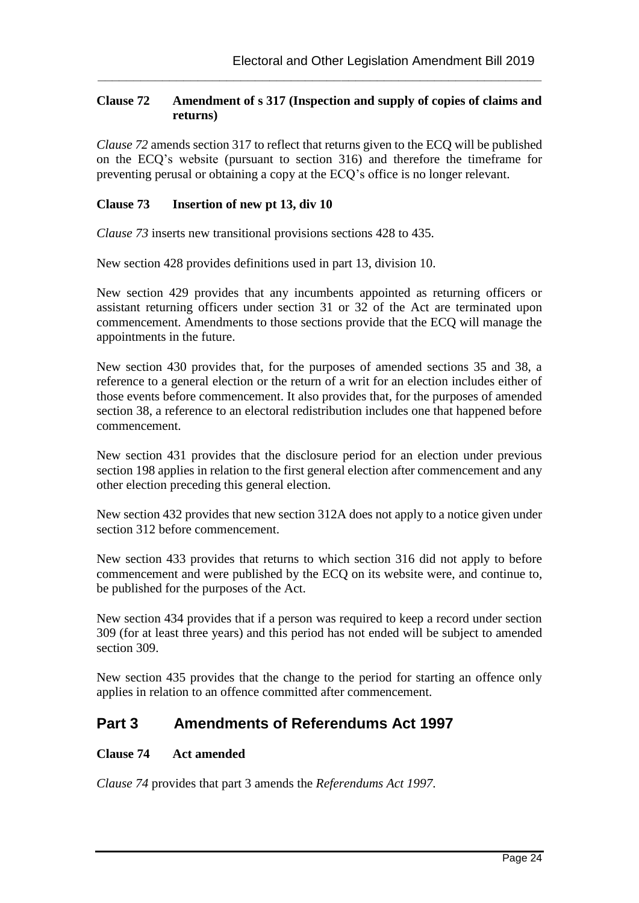## **Clause 72 Amendment of s 317 (Inspection and supply of copies of claims and returns)**

**\_\_\_\_\_\_\_\_\_\_\_\_\_\_\_\_\_\_\_\_\_\_\_\_\_\_\_\_\_\_\_\_\_\_\_\_\_\_\_\_\_\_\_\_\_\_\_\_\_\_\_\_\_\_\_\_\_\_\_\_\_\_**

*Clause 72* amends section 317 to reflect that returns given to the ECQ will be published on the ECQ's website (pursuant to section 316) and therefore the timeframe for preventing perusal or obtaining a copy at the ECQ's office is no longer relevant.

### **Clause 73 Insertion of new pt 13, div 10**

*Clause 73* inserts new transitional provisions sections 428 to 435.

New section 428 provides definitions used in part 13, division 10.

New section 429 provides that any incumbents appointed as returning officers or assistant returning officers under section 31 or 32 of the Act are terminated upon commencement. Amendments to those sections provide that the ECQ will manage the appointments in the future.

New section 430 provides that, for the purposes of amended sections 35 and 38, a reference to a general election or the return of a writ for an election includes either of those events before commencement. It also provides that, for the purposes of amended section 38, a reference to an electoral redistribution includes one that happened before commencement.

New section 431 provides that the disclosure period for an election under previous section 198 applies in relation to the first general election after commencement and any other election preceding this general election.

New section 432 provides that new section 312A does not apply to a notice given under section 312 before commencement.

New section 433 provides that returns to which section 316 did not apply to before commencement and were published by the ECQ on its website were, and continue to, be published for the purposes of the Act.

New section 434 provides that if a person was required to keep a record under section 309 (for at least three years) and this period has not ended will be subject to amended section 309.

New section 435 provides that the change to the period for starting an offence only applies in relation to an offence committed after commencement.

## **Part 3 Amendments of Referendums Act 1997**

## **Clause 74 Act amended**

*Clause 74* provides that part 3 amends the *Referendums Act 1997*.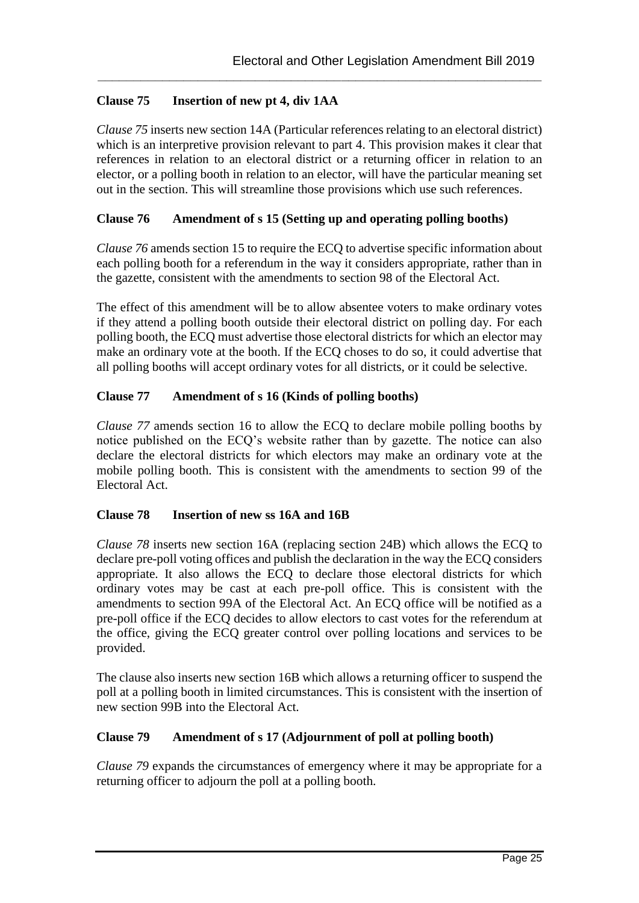## **Clause 75 Insertion of new pt 4, div 1AA**

*Clause 75* inserts new section 14A (Particular references relating to an electoral district) which is an interpretive provision relevant to part 4. This provision makes it clear that references in relation to an electoral district or a returning officer in relation to an elector, or a polling booth in relation to an elector, will have the particular meaning set out in the section. This will streamline those provisions which use such references.

**\_\_\_\_\_\_\_\_\_\_\_\_\_\_\_\_\_\_\_\_\_\_\_\_\_\_\_\_\_\_\_\_\_\_\_\_\_\_\_\_\_\_\_\_\_\_\_\_\_\_\_\_\_\_\_\_\_\_\_\_\_\_**

## **Clause 76 Amendment of s 15 (Setting up and operating polling booths)**

*Clause 76* amends section 15 to require the ECQ to advertise specific information about each polling booth for a referendum in the way it considers appropriate, rather than in the gazette, consistent with the amendments to section 98 of the Electoral Act.

The effect of this amendment will be to allow absentee voters to make ordinary votes if they attend a polling booth outside their electoral district on polling day. For each polling booth, the ECQ must advertise those electoral districts for which an elector may make an ordinary vote at the booth. If the ECQ choses to do so, it could advertise that all polling booths will accept ordinary votes for all districts, or it could be selective.

## **Clause 77 Amendment of s 16 (Kinds of polling booths)**

*Clause 77* amends section 16 to allow the ECQ to declare mobile polling booths by notice published on the ECQ's website rather than by gazette. The notice can also declare the electoral districts for which electors may make an ordinary vote at the mobile polling booth. This is consistent with the amendments to section 99 of the Electoral Act.

## **Clause 78 Insertion of new ss 16A and 16B**

*Clause 78* inserts new section 16A (replacing section 24B) which allows the ECQ to declare pre-poll voting offices and publish the declaration in the way the ECQ considers appropriate. It also allows the ECQ to declare those electoral districts for which ordinary votes may be cast at each pre-poll office. This is consistent with the amendments to section 99A of the Electoral Act. An ECQ office will be notified as a pre-poll office if the ECQ decides to allow electors to cast votes for the referendum at the office, giving the ECQ greater control over polling locations and services to be provided.

The clause also inserts new section 16B which allows a returning officer to suspend the poll at a polling booth in limited circumstances. This is consistent with the insertion of new section 99B into the Electoral Act.

## **Clause 79 Amendment of s 17 (Adjournment of poll at polling booth)**

*Clause 79* expands the circumstances of emergency where it may be appropriate for a returning officer to adjourn the poll at a polling booth.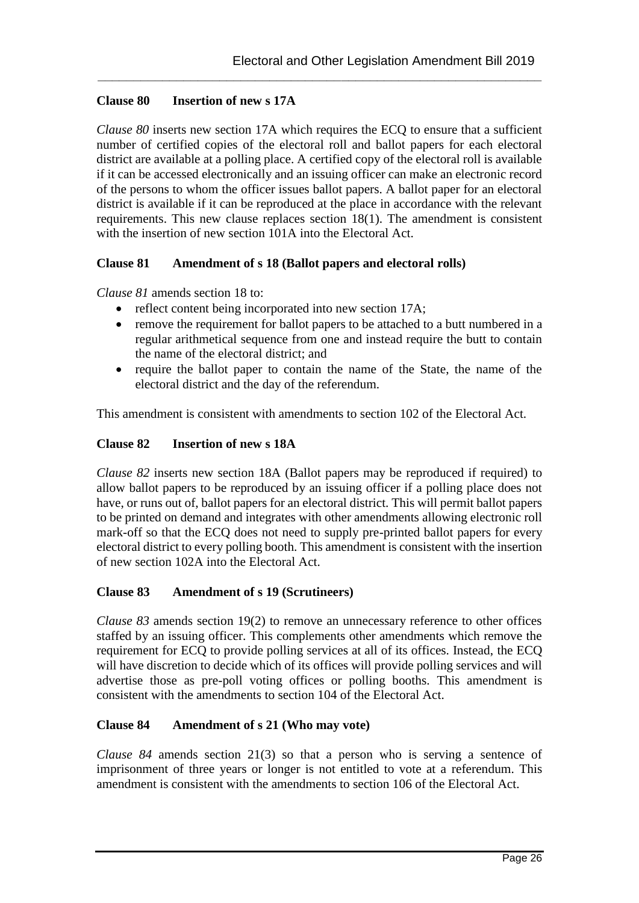#### **Clause 80 Insertion of new s 17A**

*Clause 80* inserts new section 17A which requires the ECQ to ensure that a sufficient number of certified copies of the electoral roll and ballot papers for each electoral district are available at a polling place. A certified copy of the electoral roll is available if it can be accessed electronically and an issuing officer can make an electronic record of the persons to whom the officer issues ballot papers. A ballot paper for an electoral district is available if it can be reproduced at the place in accordance with the relevant requirements. This new clause replaces section 18(1). The amendment is consistent with the insertion of new section 101A into the Electoral Act.

**\_\_\_\_\_\_\_\_\_\_\_\_\_\_\_\_\_\_\_\_\_\_\_\_\_\_\_\_\_\_\_\_\_\_\_\_\_\_\_\_\_\_\_\_\_\_\_\_\_\_\_\_\_\_\_\_\_\_\_\_\_\_**

#### **Clause 81 Amendment of s 18 (Ballot papers and electoral rolls)**

*Clause 81* amends section 18 to:

- reflect content being incorporated into new section 17A;
- remove the requirement for ballot papers to be attached to a butt numbered in a regular arithmetical sequence from one and instead require the butt to contain the name of the electoral district; and
- require the ballot paper to contain the name of the State, the name of the electoral district and the day of the referendum.

This amendment is consistent with amendments to section 102 of the Electoral Act.

#### **Clause 82 Insertion of new s 18A**

*Clause 82* inserts new section 18A (Ballot papers may be reproduced if required) to allow ballot papers to be reproduced by an issuing officer if a polling place does not have, or runs out of, ballot papers for an electoral district. This will permit ballot papers to be printed on demand and integrates with other amendments allowing electronic roll mark-off so that the ECQ does not need to supply pre-printed ballot papers for every electoral district to every polling booth. This amendment is consistent with the insertion of new section 102A into the Electoral Act.

#### **Clause 83 Amendment of s 19 (Scrutineers)**

*Clause 83* amends section 19(2) to remove an unnecessary reference to other offices staffed by an issuing officer. This complements other amendments which remove the requirement for ECQ to provide polling services at all of its offices. Instead, the ECQ will have discretion to decide which of its offices will provide polling services and will advertise those as pre-poll voting offices or polling booths. This amendment is consistent with the amendments to section 104 of the Electoral Act.

#### **Clause 84 Amendment of s 21 (Who may vote)**

*Clause 84* amends section 21(3) so that a person who is serving a sentence of imprisonment of three years or longer is not entitled to vote at a referendum. This amendment is consistent with the amendments to section 106 of the Electoral Act.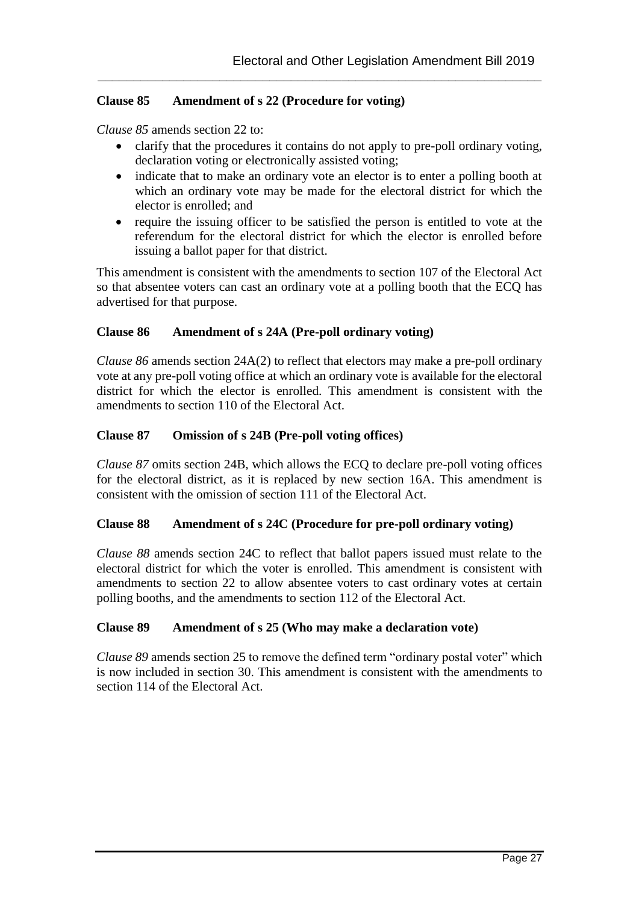## **Clause 85 Amendment of s 22 (Procedure for voting)**

*Clause 85* amends section 22 to:

 clarify that the procedures it contains do not apply to pre-poll ordinary voting, declaration voting or electronically assisted voting;

**\_\_\_\_\_\_\_\_\_\_\_\_\_\_\_\_\_\_\_\_\_\_\_\_\_\_\_\_\_\_\_\_\_\_\_\_\_\_\_\_\_\_\_\_\_\_\_\_\_\_\_\_\_\_\_\_\_\_\_\_\_\_**

- indicate that to make an ordinary vote an elector is to enter a polling booth at which an ordinary vote may be made for the electoral district for which the elector is enrolled; and
- require the issuing officer to be satisfied the person is entitled to vote at the referendum for the electoral district for which the elector is enrolled before issuing a ballot paper for that district.

This amendment is consistent with the amendments to section 107 of the Electoral Act so that absentee voters can cast an ordinary vote at a polling booth that the ECQ has advertised for that purpose.

#### **Clause 86 Amendment of s 24A (Pre-poll ordinary voting)**

*Clause 86* amends section 24A(2) to reflect that electors may make a pre-poll ordinary vote at any pre-poll voting office at which an ordinary vote is available for the electoral district for which the elector is enrolled. This amendment is consistent with the amendments to section 110 of the Electoral Act.

#### **Clause 87 Omission of s 24B (Pre-poll voting offices)**

*Clause 87* omits section 24B, which allows the ECQ to declare pre-poll voting offices for the electoral district, as it is replaced by new section 16A. This amendment is consistent with the omission of section 111 of the Electoral Act.

#### **Clause 88 Amendment of s 24C (Procedure for pre-poll ordinary voting)**

*Clause 88* amends section 24C to reflect that ballot papers issued must relate to the electoral district for which the voter is enrolled. This amendment is consistent with amendments to section 22 to allow absentee voters to cast ordinary votes at certain polling booths, and the amendments to section 112 of the Electoral Act.

#### **Clause 89 Amendment of s 25 (Who may make a declaration vote)**

*Clause 89* amends section 25 to remove the defined term "ordinary postal voter" which is now included in section 30. This amendment is consistent with the amendments to section 114 of the Electoral Act.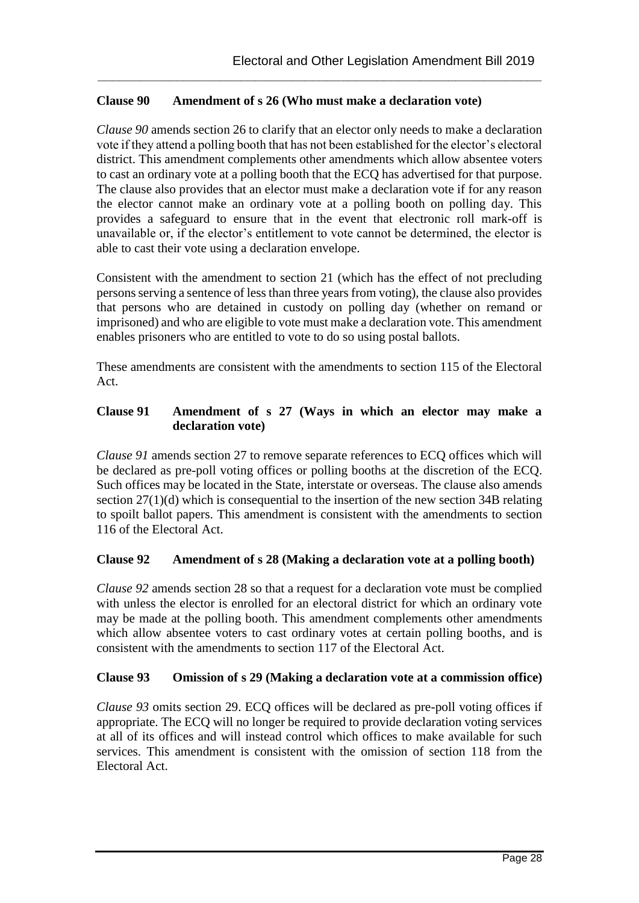## **Clause 90 Amendment of s 26 (Who must make a declaration vote)**

*Clause 90* amends section 26 to clarify that an elector only needs to make a declaration vote if they attend a polling booth that has not been established for the elector's electoral district. This amendment complements other amendments which allow absentee voters to cast an ordinary vote at a polling booth that the ECQ has advertised for that purpose. The clause also provides that an elector must make a declaration vote if for any reason the elector cannot make an ordinary vote at a polling booth on polling day. This provides a safeguard to ensure that in the event that electronic roll mark-off is unavailable or, if the elector's entitlement to vote cannot be determined, the elector is able to cast their vote using a declaration envelope.

**\_\_\_\_\_\_\_\_\_\_\_\_\_\_\_\_\_\_\_\_\_\_\_\_\_\_\_\_\_\_\_\_\_\_\_\_\_\_\_\_\_\_\_\_\_\_\_\_\_\_\_\_\_\_\_\_\_\_\_\_\_\_**

Consistent with the amendment to section 21 (which has the effect of not precluding persons serving a sentence of less than three years from voting), the clause also provides that persons who are detained in custody on polling day (whether on remand or imprisoned) and who are eligible to vote must make a declaration vote. This amendment enables prisoners who are entitled to vote to do so using postal ballots.

These amendments are consistent with the amendments to section 115 of the Electoral Act.

## **Clause 91 Amendment of s 27 (Ways in which an elector may make a declaration vote)**

*Clause 91* amends section 27 to remove separate references to ECQ offices which will be declared as pre-poll voting offices or polling booths at the discretion of the ECQ. Such offices may be located in the State, interstate or overseas. The clause also amends section 27(1)(d) which is consequential to the insertion of the new section 34B relating to spoilt ballot papers. This amendment is consistent with the amendments to section 116 of the Electoral Act.

## **Clause 92 Amendment of s 28 (Making a declaration vote at a polling booth)**

*Clause 92* amends section 28 so that a request for a declaration vote must be complied with unless the elector is enrolled for an electoral district for which an ordinary vote may be made at the polling booth. This amendment complements other amendments which allow absentee voters to cast ordinary votes at certain polling booths, and is consistent with the amendments to section 117 of the Electoral Act.

#### **Clause 93 Omission of s 29 (Making a declaration vote at a commission office)**

*Clause 93* omits section 29. ECQ offices will be declared as pre-poll voting offices if appropriate. The ECQ will no longer be required to provide declaration voting services at all of its offices and will instead control which offices to make available for such services. This amendment is consistent with the omission of section 118 from the Electoral Act.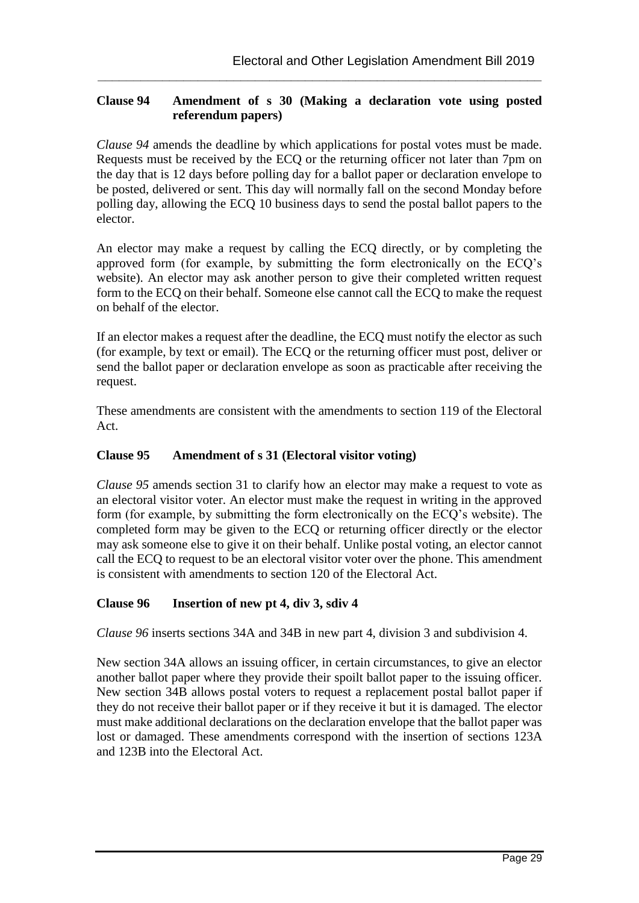## **Clause 94 Amendment of s 30 (Making a declaration vote using posted referendum papers)**

**\_\_\_\_\_\_\_\_\_\_\_\_\_\_\_\_\_\_\_\_\_\_\_\_\_\_\_\_\_\_\_\_\_\_\_\_\_\_\_\_\_\_\_\_\_\_\_\_\_\_\_\_\_\_\_\_\_\_\_\_\_\_**

*Clause 94* amends the deadline by which applications for postal votes must be made. Requests must be received by the ECQ or the returning officer not later than 7pm on the day that is 12 days before polling day for a ballot paper or declaration envelope to be posted, delivered or sent. This day will normally fall on the second Monday before polling day, allowing the ECQ 10 business days to send the postal ballot papers to the elector.

An elector may make a request by calling the ECQ directly, or by completing the approved form (for example, by submitting the form electronically on the ECQ's website). An elector may ask another person to give their completed written request form to the ECQ on their behalf. Someone else cannot call the ECQ to make the request on behalf of the elector.

If an elector makes a request after the deadline, the ECQ must notify the elector as such (for example, by text or email). The ECQ or the returning officer must post, deliver or send the ballot paper or declaration envelope as soon as practicable after receiving the request.

These amendments are consistent with the amendments to section 119 of the Electoral Act.

## **Clause 95 Amendment of s 31 (Electoral visitor voting)**

*Clause 95* amends section 31 to clarify how an elector may make a request to vote as an electoral visitor voter. An elector must make the request in writing in the approved form (for example, by submitting the form electronically on the ECQ's website). The completed form may be given to the ECQ or returning officer directly or the elector may ask someone else to give it on their behalf. Unlike postal voting, an elector cannot call the ECQ to request to be an electoral visitor voter over the phone. This amendment is consistent with amendments to section 120 of the Electoral Act.

## **Clause 96 Insertion of new pt 4, div 3, sdiv 4**

*Clause 96* inserts sections 34A and 34B in new part 4, division 3 and subdivision 4.

New section 34A allows an issuing officer, in certain circumstances, to give an elector another ballot paper where they provide their spoilt ballot paper to the issuing officer. New section 34B allows postal voters to request a replacement postal ballot paper if they do not receive their ballot paper or if they receive it but it is damaged. The elector must make additional declarations on the declaration envelope that the ballot paper was lost or damaged. These amendments correspond with the insertion of sections 123A and 123B into the Electoral Act.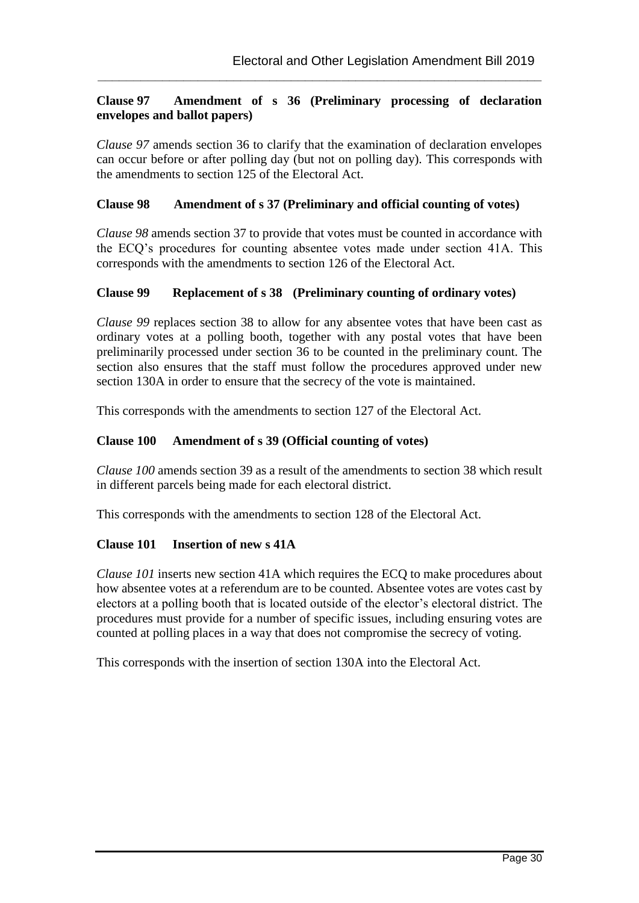## **Clause 97 Amendment of s 36 (Preliminary processing of declaration envelopes and ballot papers)**

**\_\_\_\_\_\_\_\_\_\_\_\_\_\_\_\_\_\_\_\_\_\_\_\_\_\_\_\_\_\_\_\_\_\_\_\_\_\_\_\_\_\_\_\_\_\_\_\_\_\_\_\_\_\_\_\_\_\_\_\_\_\_**

*Clause 97* amends section 36 to clarify that the examination of declaration envelopes can occur before or after polling day (but not on polling day). This corresponds with the amendments to section 125 of the Electoral Act.

#### **Clause 98 Amendment of s 37 (Preliminary and official counting of votes)**

*Clause 98* amends section 37 to provide that votes must be counted in accordance with the ECQ's procedures for counting absentee votes made under section 41A. This corresponds with the amendments to section 126 of the Electoral Act.

#### **Clause 99 Replacement of s 38 (Preliminary counting of ordinary votes)**

*Clause 99* replaces section 38 to allow for any absentee votes that have been cast as ordinary votes at a polling booth, together with any postal votes that have been preliminarily processed under section 36 to be counted in the preliminary count. The section also ensures that the staff must follow the procedures approved under new section 130A in order to ensure that the secrecy of the vote is maintained.

This corresponds with the amendments to section 127 of the Electoral Act.

#### **Clause 100 Amendment of s 39 (Official counting of votes)**

*Clause 100* amends section 39 as a result of the amendments to section 38 which result in different parcels being made for each electoral district.

This corresponds with the amendments to section 128 of the Electoral Act.

#### **Clause 101 Insertion of new s 41A**

*Clause 101* inserts new section 41A which requires the ECQ to make procedures about how absentee votes at a referendum are to be counted. Absentee votes are votes cast by electors at a polling booth that is located outside of the elector's electoral district. The procedures must provide for a number of specific issues, including ensuring votes are counted at polling places in a way that does not compromise the secrecy of voting.

This corresponds with the insertion of section 130A into the Electoral Act.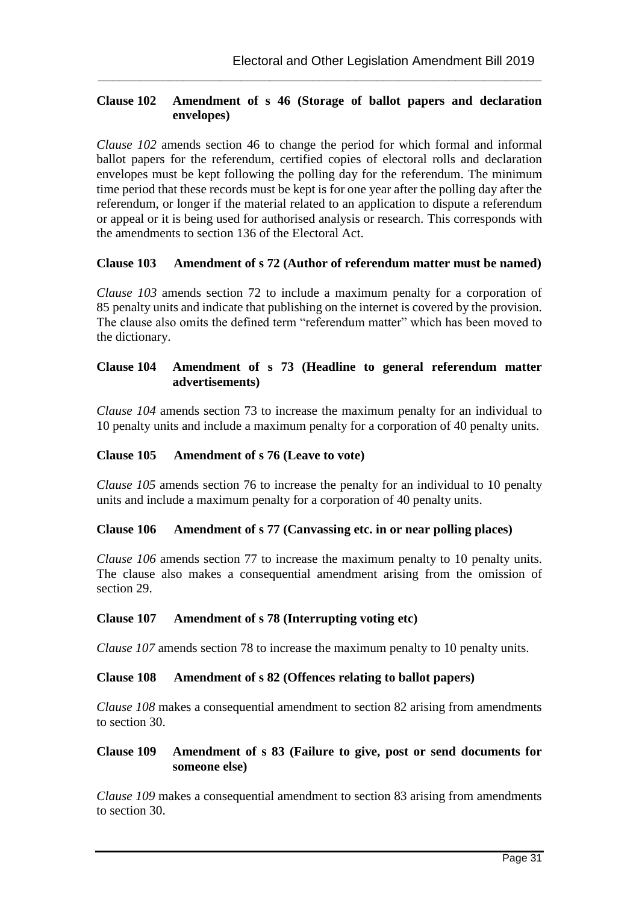### **Clause 102 Amendment of s 46 (Storage of ballot papers and declaration envelopes)**

**\_\_\_\_\_\_\_\_\_\_\_\_\_\_\_\_\_\_\_\_\_\_\_\_\_\_\_\_\_\_\_\_\_\_\_\_\_\_\_\_\_\_\_\_\_\_\_\_\_\_\_\_\_\_\_\_\_\_\_\_\_\_**

*Clause 102* amends section 46 to change the period for which formal and informal ballot papers for the referendum, certified copies of electoral rolls and declaration envelopes must be kept following the polling day for the referendum. The minimum time period that these records must be kept is for one year after the polling day after the referendum, or longer if the material related to an application to dispute a referendum or appeal or it is being used for authorised analysis or research. This corresponds with the amendments to section 136 of the Electoral Act.

#### **Clause 103 Amendment of s 72 (Author of referendum matter must be named)**

*Clause 103* amends section 72 to include a maximum penalty for a corporation of 85 penalty units and indicate that publishing on the internet is covered by the provision. The clause also omits the defined term "referendum matter" which has been moved to the dictionary.

### **Clause 104 Amendment of s 73 (Headline to general referendum matter advertisements)**

*Clause 104* amends section 73 to increase the maximum penalty for an individual to 10 penalty units and include a maximum penalty for a corporation of 40 penalty units.

#### **Clause 105 Amendment of s 76 (Leave to vote)**

*Clause 105* amends section 76 to increase the penalty for an individual to 10 penalty units and include a maximum penalty for a corporation of 40 penalty units.

#### **Clause 106 Amendment of s 77 (Canvassing etc. in or near polling places)**

*Clause 106* amends section 77 to increase the maximum penalty to 10 penalty units. The clause also makes a consequential amendment arising from the omission of section 29.

#### **Clause 107 Amendment of s 78 (Interrupting voting etc)**

*Clause 107* amends section 78 to increase the maximum penalty to 10 penalty units.

#### **Clause 108 Amendment of s 82 (Offences relating to ballot papers)**

*Clause 108* makes a consequential amendment to section 82 arising from amendments to section 30.

#### **Clause 109 Amendment of s 83 (Failure to give, post or send documents for someone else)**

*Clause 109* makes a consequential amendment to section 83 arising from amendments to section 30.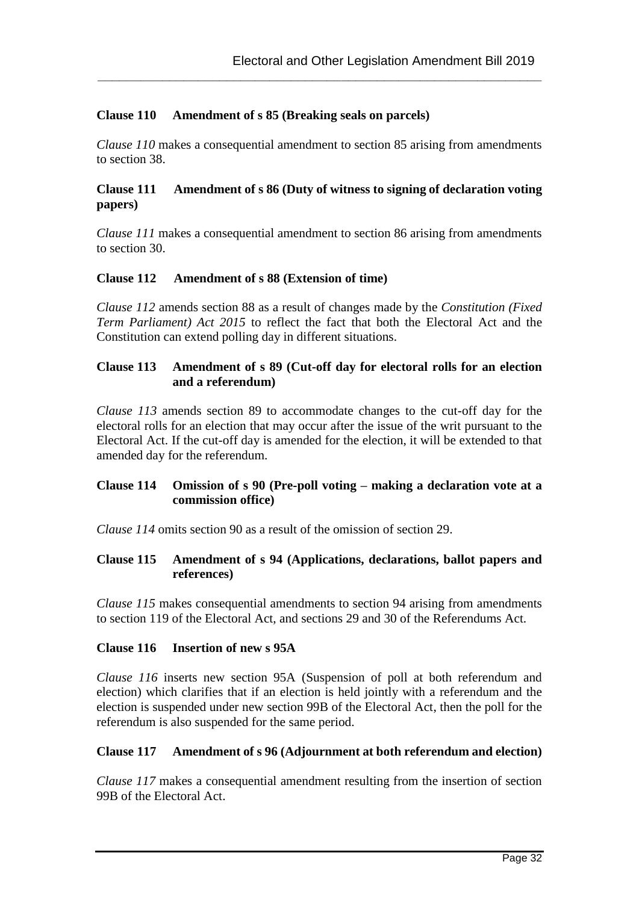## **Clause 110 Amendment of s 85 (Breaking seals on parcels)**

*Clause 110* makes a consequential amendment to section 85 arising from amendments to section 38.

**\_\_\_\_\_\_\_\_\_\_\_\_\_\_\_\_\_\_\_\_\_\_\_\_\_\_\_\_\_\_\_\_\_\_\_\_\_\_\_\_\_\_\_\_\_\_\_\_\_\_\_\_\_\_\_\_\_\_\_\_\_\_**

#### **Clause 111 Amendment of s 86 (Duty of witness to signing of declaration voting papers)**

*Clause 111* makes a consequential amendment to section 86 arising from amendments to section 30.

#### **Clause 112 Amendment of s 88 (Extension of time)**

*Clause 112* amends section 88 as a result of changes made by the *Constitution (Fixed Term Parliament) Act 2015* to reflect the fact that both the Electoral Act and the Constitution can extend polling day in different situations.

#### **Clause 113 Amendment of s 89 (Cut-off day for electoral rolls for an election and a referendum)**

*Clause 113* amends section 89 to accommodate changes to the cut-off day for the electoral rolls for an election that may occur after the issue of the writ pursuant to the Electoral Act. If the cut-off day is amended for the election, it will be extended to that amended day for the referendum.

#### **Clause 114 Omission of s 90 (Pre-poll voting – making a declaration vote at a commission office)**

*Clause 114* omits section 90 as a result of the omission of section 29.

#### **Clause 115 Amendment of s 94 (Applications, declarations, ballot papers and references)**

*Clause 115* makes consequential amendments to section 94 arising from amendments to section 119 of the Electoral Act, and sections 29 and 30 of the Referendums Act.

#### **Clause 116 Insertion of new s 95A**

*Clause 116* inserts new section 95A (Suspension of poll at both referendum and election) which clarifies that if an election is held jointly with a referendum and the election is suspended under new section 99B of the Electoral Act, then the poll for the referendum is also suspended for the same period.

#### **Clause 117 Amendment of s 96 (Adjournment at both referendum and election)**

*Clause 117* makes a consequential amendment resulting from the insertion of section 99B of the Electoral Act.